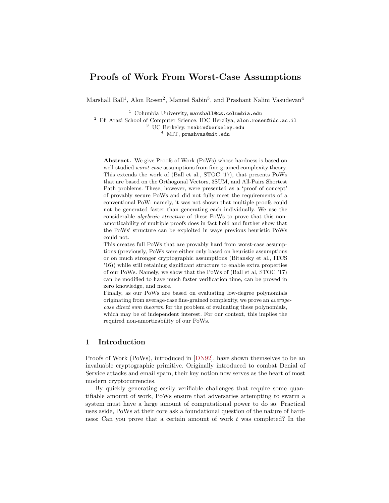# Proofs of Work From Worst-Case Assumptions

Marshall Ball<sup>1</sup>, Alon Rosen<sup>2</sup>, Manuel Sabin<sup>3</sup>, and Prashant Nalini Vasudevan<sup>4</sup>

<sup>1</sup> Columbia University, marshall@cs.columbia.edu

<sup>2</sup> Efi Arazi School of Computer Science, IDC Herzliya, alon.rosen@idc.ac.il

<sup>3</sup> UC Berkeley, msabin@berkeley.edu

<sup>4</sup> MIT, prashvas@mit.edu

Abstract. We give Proofs of Work (PoWs) whose hardness is based on well-studied *worst-case* assumptions from fine-grained complexity theory. This extends the work of (Ball et al., STOC '17), that presents PoWs that are based on the Orthogonal Vectors, 3SUM, and All-Pairs Shortest Path problems. These, however, were presented as a 'proof of concept' of provably secure PoWs and did not fully meet the requirements of a conventional PoW: namely, it was not shown that multiple proofs could not be generated faster than generating each individually. We use the considerable algebraic structure of these PoWs to prove that this nonamortizability of multiple proofs does in fact hold and further show that the PoWs' structure can be exploited in ways previous heuristic PoWs could not.

This creates full PoWs that are provably hard from worst-case assumptions (previously, PoWs were either only based on heuristic assumptions or on much stronger cryptographic assumptions (Bitansky et al., ITCS '16)) while still retaining significant structure to enable extra properties of our PoWs. Namely, we show that the PoWs of (Ball et al, STOC '17) can be modified to have much faster verification time, can be proved in zero knowledge, and more.

Finally, as our PoWs are based on evaluating low-degree polynomials originating from average-case fine-grained complexity, we prove an averagecase direct sum theorem for the problem of evaluating these polynomials, which may be of independent interest. For our context, this implies the required non-amortizability of our PoWs.

# 1 Introduction

Proofs of Work (PoWs), introduced in [\[DN92\]](#page-25-0), have shown themselves to be an invaluable cryptographic primitive. Originally introduced to combat Denial of Service attacks and email spam, their key notion now serves as the heart of most modern cryptocurrencies.

By quickly generating easily verifiable challenges that require some quantifiable amount of work, PoWs ensure that adversaries attempting to swarm a system must have a large amount of computational power to do so. Practical uses aside, PoWs at their core ask a foundational question of the nature of hardness: Can you prove that a certain amount of work  $t$  was completed? In the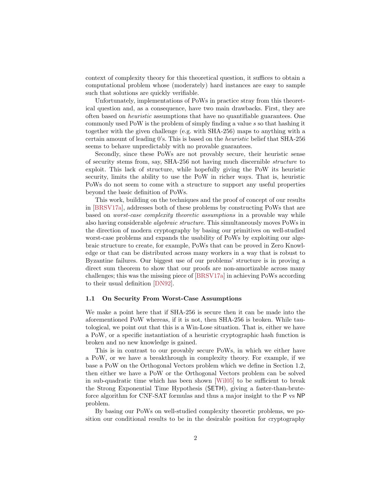context of complexity theory for this theoretical question, it suffices to obtain a computational problem whose (moderately) hard instances are easy to sample such that solutions are quickly verifiable.

Unfortunately, implementations of PoWs in practice stray from this theoretical question and, as a consequence, have two main drawbacks. First, they are often based on heuristic assumptions that have no quantifiable guarantees. One commonly used PoW is the problem of simply finding a value s so that hashing it together with the given challenge (e.g. with SHA-256) maps to anything with a certain amount of leading 0's. This is based on the heuristic belief that SHA-256 seems to behave unpredictably with no provable guarantees.

Secondly, since these PoWs are not provably secure, their heuristic sense of security stems from, say, SHA-256 not having much discernible structure to exploit. This lack of structure, while hopefully giving the PoW its heuristic security, limits the ability to use the PoW in richer ways. That is, heuristic PoWs do not seem to come with a structure to support any useful properties beyond the basic definition of PoWs.

This work, building on the techniques and the proof of concept of our results in [\[BRSV17a\]](#page-25-1), addresses both of these problems by constructing PoWs that are based on worst-case complexity theoretic assumptions in a provable way while also having considerable algebraic structure. This simultaneously moves PoWs in the direction of modern cryptography by basing our primitives on well-studied worst-case problems and expands the usability of PoWs by exploiting our algebraic structure to create, for example, PoWs that can be proved in Zero Knowledge or that can be distributed across many workers in a way that is robust to Byzantine failures. Our biggest use of our problems' structure is in proving a direct sum theorem to show that our proofs are non-amortizable across many challenges; this was the missing piece of [\[BRSV17a\]](#page-25-1) in achieving PoWs according to their usual definition [\[DN92\]](#page-25-0).

#### 1.1 On Security From Worst-Case Assumptions

We make a point here that if SHA-256 is secure then it can be made into the aforementioned PoW whereas, if it is not, then SHA-256 is broken. While tautological, we point out that this is a Win-Lose situation. That is, either we have a PoW, or a specific instantiation of a heuristic cryptographic hash function is broken and no new knowledge is gained.

This is in contrast to our provably secure PoWs, in which we either have a PoW, or we have a breakthrough in complexity theory. For example, if we base a PoW on the Orthogonal Vectors problem which we define in Section [1.2,](#page-2-0) then either we have a PoW or the Orthogonal Vectors problem can be solved in sub-quadratic time which has been shown [\[Wil05\]](#page-26-0) to be sufficient to break the Strong Exponential Time Hypothesis (SETH), giving a faster-than-bruteforce algorithm for CNF-SAT formulas and thus a major insight to the P vs NP problem.

By basing our PoWs on well-studied complexity theoretic problems, we position our conditional results to be in the desirable position for cryptography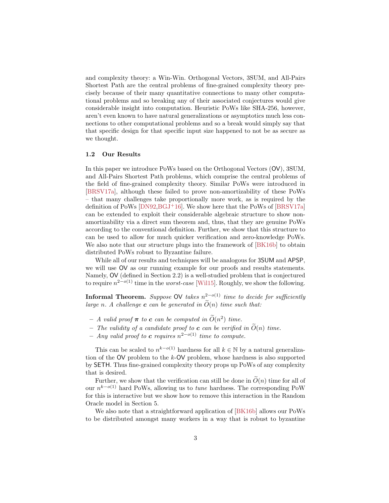and complexity theory: a Win-Win. Orthogonal Vectors, 3SUM, and All-Pairs Shortest Path are the central problems of fine-grained complexity theory precisely because of their many quantitative connections to many other computational problems and so breaking any of their associated conjectures would give considerable insight into computation. Heuristic PoWs like SHA-256, however, aren't even known to have natural generalizations or asymptotics much less connections to other computational problems and so a break would simply say that that specific design for that specific input size happened to not be as secure as we thought.

#### <span id="page-2-0"></span>1.2 Our Results

In this paper we introduce PoWs based on the Orthogonal Vectors (OV), 3SUM, and All-Pairs Shortest Path problems, which comprise the central problems of the field of fine-grained complexity theory. Similar PoWs were introduced in [\[BRSV17a\]](#page-25-1), although these failed to prove non-amortizability of these PoWs – that many challenges take proportionally more work, as is required by the definition of PoWs  $[DN92,BGJ+16]$  $[DN92,BGJ+16]$  $[DN92,BGJ+16]$ . We show here that the PoWs of  $[BRSV17a]$ can be extended to exploit their considerable algebraic structure to show nonamortizability via a direct sum theorem and, thus, that they are genuine PoWs according to the conventional definition. Further, we show that this structure to can be used to allow for much quicker verification and zero-knowledge PoWs. We also note that our structure plugs into the framework of [\[BK16b\]](#page-25-3) to obtain distributed PoWs robust to Byzantine failure.

While all of our results and techniques will be analogous for 3SUM and APSP, we will use OV as our running example for our proofs and results statements. Namely, OV (defined in Section [2.2\)](#page-5-0) is a well-studied problem that is conjectured to require  $n^{2-o(1)}$  time in the *worst-case* [\[Wil15\]](#page-26-1). Roughly, we show the following.

**Informal Theorem.** Suppose  $\mathsf{OV}$  takes  $n^{2-o(1)}$  time to decide for sufficiently large n. A challenge **c** can be generated in  $\widetilde{O}(n)$  time such that:

- $-$  A valid proof  $\pi$  to **c** can be computed in  $\widetilde{O}(n^2)$  time.
- The validity of a candidate proof to **c** can be verified in  $\widetilde{O}(n)$  time.
- $-$  Any valid proof to **c** requires  $n^{2-o(1)}$  time to compute.

This can be scaled to  $n^{k-o(1)}$  hardness for all  $k \in \mathbb{N}$  by a natural generalization of the OV problem to the k-OV problem, whose hardness is also supported by SETH. Thus fine-grained complexity theory props up PoWs of any complexity that is desired.

Further, we show that the verification can still be done in  $\tilde{O}(n)$  time for all of our  $n^{k-o(1)}$  hard PoWs, allowing us to *tune* hardness. The corresponding PoW for this is interactive but we show how to remove this interaction in the Random Oracle model in Section [5.](#page-18-0)

We also note that a straightforward application of [\[BK16b\]](#page-25-3) allows our PoWs to be distributed amongst many workers in a way that is robust to byzantine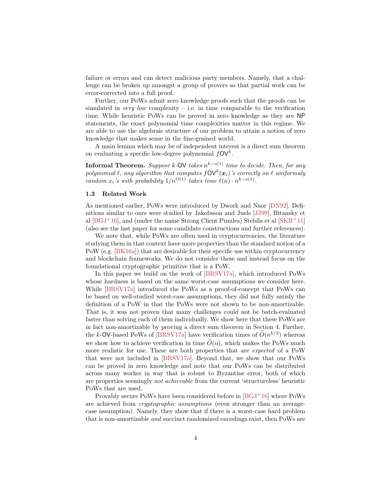failure or errors and can detect malicious party members. Namely, that a challenge can be broken up amongst a group of provers so that partial work can be error-corrected into a full proof.

Further, our PoWs admit zero knowledge proofs such that the proofs can be simulated in very low complexity – i.e. in time comparable to the verification time. While heuristic PoWs can be proved in zero knowledge as they are NP statements, the exact polynomial time complexities matter in this regime. We are able to use the algebraic structure of our problem to attain a notion of zero knowledge that makes sense in the fine-grained world.

A main lemma which may be of independent interest is a direct sum theorem on evaluating a specific low-degree polynomial  $f\text{O}V^k$ .

**Informal Theorem.** Suppose k-OV takes  $n^{k-o(1)}$  time to decide. Then, for any polynomial  $\ell,$  any algorithm that computes  $f\mathsf{OV}^k(\bm{x}_i)$ 's correctly on  $\ell$  uniformaly random  $x_i$ 's with probability  $1/n^{O(1)}$  takes time  $\ell(n) \cdot n^{k-o(1)}$ .

#### 1.3 Related Work

As mentioned earlier, PoWs were introduced by Dwork and Naor [\[DN92\]](#page-25-0). Definitions similar to ours were studied by Jakobsson and Juels [\[JJ99\]](#page-26-2), Bitansky et al  $[BGJ<sup>+</sup>16]$  $[BGJ<sup>+</sup>16]$ , and (under the name Strong Client Puzzles) Stebila et al  $[SKR<sup>+</sup>11]$  $[SKR<sup>+</sup>11]$ (also see the last paper for some candidate constructions and further references).

We note that, while PoWs are often used in cryptocurrencies, the literature studying them in that context have more properties than the standard notion of a PoW (e.g. [\[BK16a\]](#page-25-4)) that are desirable for their specific use within cryptocurrency and blockchain frameworks. We do not consider these and instead focus on the foundational cryptographic primitive that is a PoW.

In this paper we build on the work of [\[BRSV17a\]](#page-25-1), which introduced PoWs whose hardness is based on the same worst-case assumptions we consider here. While [\[BRSV17a\]](#page-25-1) introduced the PoWs as a proof-of-concept that PoWs can be based on well-studied worst-case assumptions, they did not fully satisfy the definition of a PoW in that the PoWs were not shown to be non-amortizable. That is, it was not proven that many challenges could not be batch-evaluated faster than solving each of them individually. We show here that these PoWs are in fact non-amortizable by proving a direct sum theorem in Section [4.](#page-14-0) Further, the k-OV-based PoWs of [\[BRSV17a\]](#page-25-1) have verification times of  $\widetilde{O}(n^{k/2})$  whereas we show how to achieve verification in time  $\tilde{O}(n)$ , which makes the PoWs much more realistic for use. These are both properties that are *expected* of a PoW that were not included in [\[BRSV17a\]](#page-25-1). Beyond that, we show that our PoWs can be proved in zero knowledge and note that our PoWs can be distributed across many worker in way that is robust to Byzantine error, both of which are properties seemingly not achievable from the current 'structureless' heuristic PoWs that are used.

Provably secure PoWs have been considered before in [\[BGJ](#page-25-2)<sup>+</sup>16] where PoWs are achieved from cryptographic assumptions (even stronger than an averagecase assumption). Namely, they show that if there is a worst-case hard problem that is non-amortizable and succinct randomized encodings exist, then PoWs are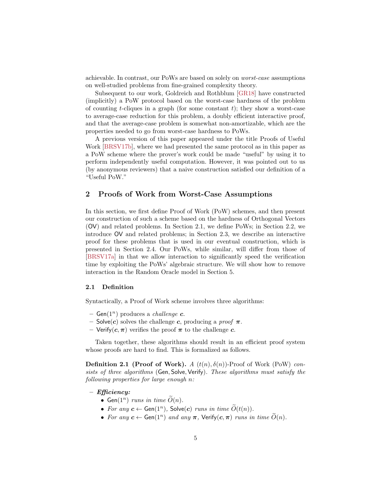achievable. In contrast, our PoWs are based on solely on worst-case assumptions on well-studied problems from fine-grained complexity theory.

Subsequent to our work, Goldreich and Rothblum [\[GR18\]](#page-25-5) have constructed (implicitly) a PoW protocol based on the worst-case hardness of the problem of counting t-cliques in a graph (for some constant  $t$ ); they show a worst-case to average-case reduction for this problem, a doubly efficient interactive proof, and that the average-case problem is somewhat non-amortizable, which are the properties needed to go from worst-case hardness to PoWs.

A previous version of this paper appeared under the title Proofs of Useful Work [\[BRSV17b\]](#page-25-6), where we had presented the same protocol as in this paper as a PoW scheme where the prover's work could be made "useful" by using it to perform independently useful computation. However, it was pointed out to us (by anonymous reviewers) that a naive construction satisfied our definition of a "Useful PoW."

## <span id="page-4-1"></span>2 Proofs of Work from Worst-Case Assumptions

In this section, we first define Proof of Work (PoW) schemes, and then present our construction of such a scheme based on the hardness of Orthogonal Vectors (OV) and related problems. In Section [2.1,](#page-4-0) we define PoWs; in Section [2.2,](#page-5-0) we introduce OV and related problems; in Section [2.3,](#page-7-0) we describe an interactive proof for these problems that is used in our eventual construction, which is presented in Section [2.4.](#page-9-0) Our PoWs, while similar, will differ from those of [\[BRSV17a\]](#page-25-1) in that we allow interaction to significantly speed the verification time by exploiting the PoWs' algebraic structure. We will show how to remove interaction in the Random Oracle model in Section [5.](#page-18-0)

#### <span id="page-4-0"></span>2.1 Definition

Syntactically, a Proof of Work scheme involves three algorithms:

- Gen $(1^n)$  produces a *challenge* **c**.
- Solve $(c)$  solves the challenge c, producing a proof  $\pi$ .
- Verify( $c, \pi$ ) verifies the proof  $\pi$  to the challenge  $c$ .

Taken together, these algorithms should result in an efficient proof system whose proofs are hard to find. This is formalized as follows.

**Definition 2.1 (Proof of Work).** A  $(t(n), \delta(n))$ -Proof of Work (PoW) consists of three algorithms (Gen, Solve, Verify). These algorithms must satisfy the following properties for large enough n:

- Efficiency:
	- Gen $(1^n)$  runs in time  $\widetilde{O}(n)$ .
	- For any  $c \leftarrow$  Gen(1<sup>n</sup>), Solve(c) runs in time  $\widetilde{O}(t(n))$ .
	- For any  $c \leftarrow$  Gen(1<sup>n</sup>) and any  $\pi$ , Verify( $c, \pi$ ) runs in time  $O(n)$ .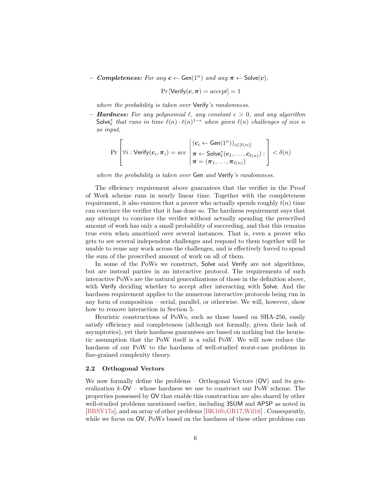– Completeness: For any  $c \leftarrow$  Gen $(1^n)$  and any  $\pi \leftarrow$  Solve $(c)$ ,

$$
Pr[Verify(c, \pi) = accept] = 1
$$

where the probability is taken over Verify's randomness.

- **Hardness:** For any polynomial  $\ell$ , any constant  $\epsilon > 0$ , and any algorithm Solve<sub>k</sub> that runs in time  $\ell(n) \cdot t(n)^{1-\epsilon}$  when given  $\ell(n)$  challenges of size n as input,

$$
\Pr\left[\forall i:\text{Verify}(c_i,\pi_i)=acc\ \left|\ \begin{matrix} (c_i \leftarrow Gen(1^n))_{i\in[\ell(n)]} \\ \pi \leftarrow Solve^*_{\ell}(c_1,\ldots,c_{\ell(n)}) \\ \pi=(\pi_1,\ldots,\pi_{\ell(n)}) \end{matrix}\right|\right.<\delta(n)
$$

where the probability is taken over Gen and Verify's randomness.

The efficiency requirement above guarantees that the verifier in the Proof of Work scheme runs in nearly linear time. Together with the completeness requirement, it also ensures that a prover who actually spends roughly  $t(n)$  time can convince the verifier that it has done so. The hardness requirement says that any attempt to convince the verifier without actually spending the prescribed amount of work has only a small probability of succeeding, and that this remains true even when amortized over several instances. That is, even a prover who gets to see several independent challenges and respond to them together will be unable to reuse any work across the challenges, and is effectively forced to spend the sum of the prescribed amount of work on all of them.

In some of the PoWs we construct, Solve and Verify are not algorithms, but are instead parties in an interactive protocol. The requirements of such interactive PoWs are the natural generalizations of those in the definition above, with Verify deciding whether to accept after interacting with Solve. And the hardness requirement applies to the numerous interactive protocols being run in any form of composition – serial, parallel, or otherwise. We will, however, show how to remove interaction in Section [5.](#page-18-0)

Heuristic constructions of PoWs, such as those based on SHA-256, easily satisfy efficiency and completeness (although not formally, given their lack of asymptotics), yet their hardness guarantees are based on nothing but the heuristic assumption that the PoW itself is a valid PoW. We will now reduce the hardness of our PoW to the hardness of well-studied worst-case problems in fine-grained complexity theory.

#### <span id="page-5-0"></span>2.2 Orthogonal Vectors

We now formally define the problems – Orthogonal Vectors  $(OV)$  and its generalization  $k$ -OV – whose hardness we use to construct our PoW scheme. The properties possessed by OV that enable this construction are also shared by other well-studied problems mentioned earlier, including 3SUM and APSP as noted in [\[BRSV17a\]](#page-25-1), and an array of other problems [\[BK16b,](#page-25-3)[GR17,](#page-25-7)[Wil16\]](#page-26-4) . Consequently, while we focus on  $\mathsf{OV}, \mathsf{PoWs}$  based on the hardness of these other problems can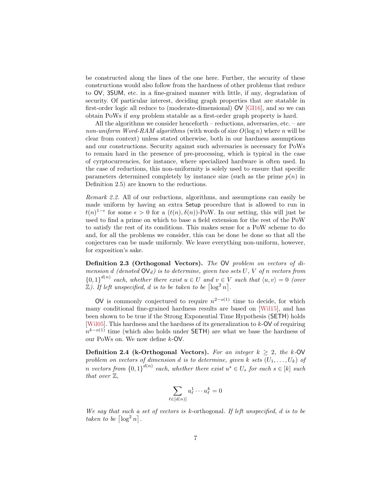be constructed along the lines of the one here. Further, the security of these constructions would also follow from the hardness of other problems that reduce to OV, 3SUM, etc. in a fine-grained manner with little, if any, degradation of security. Of particular interest, deciding graph properties that are statable in first-order logic all reduce to (moderate-dimensional) OV [\[GI16\]](#page-25-8), and so we can obtain PoWs if any problem statable as a first-order graph property is hard.

All the algorithms we consider henceforth – reductions, adversaries, etc. – are non-uniform Word-RAM algorithms (with words of size  $O(\log n)$ ) where n will be clear from context) unless stated otherwise, both in our hardness assumptions and our constructions. Security against such adversaries is necessary for PoWs to remain hard in the presence of pre-processing, which is typical in the case of cyrptocurrencies, for instance, where specialized hardware is often used. In the case of reductions, this non-uniformity is solely used to ensure that specific parameters determined completely by instance size (such as the prime  $p(n)$  in Definition [2.5\)](#page-7-1) are known to the reductions.

Remark 2.2. All of our reductions, algorithms, and assumptions can easily be made uniform by having an extra Setup procedure that is allowed to run in  $t(n)^{1-\epsilon}$  for some  $\epsilon > 0$  for a  $(t(n), \delta(n))$ -PoW. In our setting, this will just be used to find a prime on which to base a field extension for the rest of the PoW to satisfy the rest of its conditions. This makes sense for a PoW scheme to do and, for all the problems we consider, this can be done be done so that all the conjectures can be made uniformly. We leave everything non-uniform, however, for exposition's sake.

Definition 2.3 (Orthogonal Vectors). The OV problem on vectors of dimension d (denoted  $\mathsf{OV}_d$ ) is to determine, given two sets U, V of n vectors from  ${0,1\}^{d(n)}$  each, whether there exist  $u \in U$  and  $v \in V$  such that  $\langle u, v \rangle = 0$  (over  $\mathbb{Z}$ ). If left unspecified, d is to be taken to be  $\lceil \log^2 n \rceil$ .

OV is commonly conjectured to require  $n^{2-o(1)}$  time to decide, for which many conditional fine-grained hardness results are based on [\[Wil15\]](#page-26-1), and has been shown to be true if the Strong Exponential Time Hypothesis (SETH) holds [\[Wil05\]](#page-26-0). This hardness and the hardness of its generalization to k-OV of requiring  $n^{k-o(1)}$  time (which also holds under SETH) are what we base the hardness of our PoWs on. We now define k-OV.

Definition 2.4 (k-Orthogonal Vectors). For an integer  $k \geq 2$ , the k-OV problem on vectors of dimension d is to determine, given k sets  $(U_1, \ldots, U_k)$  of n vectors from  $\{0,1\}^{d(n)}$  each, whether there exist  $u^s \in U_s$  for each  $s \in [k]$  such that over  $\mathbb{Z}$ ,

$$
\sum_{\ell \in [d(n)]} u_{\ell}^1 \cdots u_{\ell}^k = 0
$$

We say that such a set of vectors is  $k$ -orthogonal. If left unspecified, d is to be taken to be  $\lceil \log^2 n \rceil$ .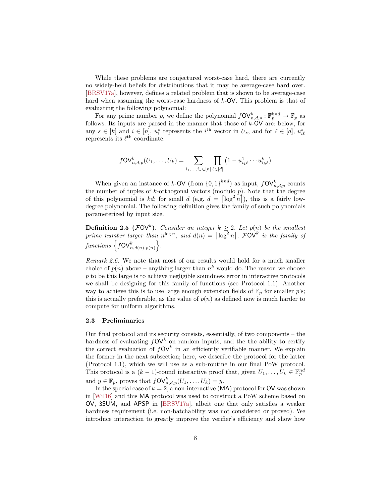While these problems are conjectured worst-case hard, there are currently no widely-held beliefs for distributions that it may be average-case hard over. [\[BRSV17a\]](#page-25-1), however, defines a related problem that is shown to be average-case hard when assuming the worst-case hardness of  $k$ -OV. This problem is that of evaluating the following polynomial:

For any prime number p, we define the polynomial  $f\text{OV}_{n,d,p}^k : \mathbb{F}_p^{knd} \to \mathbb{F}_p$  as follows. Its inputs are parsed in the manner that those of k-OV are: below, for any  $s \in [k]$  and  $i \in [n]$ ,  $u_i^s$  represents the i<sup>th</sup> vector in  $U_s$ , and for  $\ell \in [d]$ ,  $u_{i\ell}^s$ represents its  $\ell^{\text{th}}$  coordinate.

$$
f\mathrm{OV}_{n,d,p}^k(U_1,\ldots,U_k)=\sum_{i_1,\ldots,i_k\in[n]}\prod_{\ell\in[d]}\left(1-u_{i_1\ell}^1\cdots u_{i_k\ell}^k\right)
$$

When given an instance of k-OV (from  ${0,1}^{knd}$ ) as input,  $f\text{OV}_{n,d,p}^k$  counts the number of tuples of  $k$ -orthogonal vectors (modulo  $p$ ). Note that the degree of this polynomial is kd; for small d (e.g.  $d = \lceil \log^2 n \rceil$ ), this is a fairly lowdegree polynomial. The following definition gives the family of such polynomials parameterized by input size.

<span id="page-7-1"></span>**Definition 2.5** (FOV<sup>k</sup>). Consider an integer  $k \geq 2$ . Let  $p(n)$  be the smallest prime number larger than  $n^{\log n}$ , and  $d(n) = \lceil \log^2 n \rceil$ .  $\text{FOV}^k$  is the family of  $functions\left\{f\textsf{OV}_{n,d(n),p(n)}^{k}\right\}.$ 

Remark 2.6. We note that most of our results would hold for a much smaller choice of  $p(n)$  above – anything larger than  $n^k$  would do. The reason we choose p to be this large is to achieve negligible soundness error in interactive protocols we shall be designing for this family of functions (see Protocol [1.1\)](#page-9-1). Another way to achieve this is to use large enough extension fields of  $\mathbb{F}_p$  for smaller p's; this is actually preferable, as the value of  $p(n)$  as defined now is much harder to compute for uniform algorithms.

#### <span id="page-7-0"></span>2.3 Preliminaries

Our final protocol and its security consists, essentially, of two components – the hardness of evaluating  $f\mathsf{O} V^k$  on random inputs, and the the ability to certify the correct evaluation of  $f\mathsf{O} V^k$  in an efficiently verifiable manner. We explain the former in the next subsection; here, we describe the protocol for the latter (Protocol [1.1\)](#page-9-1), which we will use as a sub-routine in our final PoW protocol. This protocol is a  $(k-1)$ -round interactive proof that, given  $U_1, \ldots, U_k \in \mathbb{F}_p^{nd}$ and  $y \in \mathbb{F}_p$ , proves that  $f\text{OV}_{n,d,p}^k(U_1,\ldots,U_k)=y$ .

In the special case of  $k = 2$ , a non-interactive (MA) protocol for OV was shown in [\[Wil16\]](#page-26-4) and this MA protocol was used to construct a PoW scheme based on OV, 3SUM, and APSP in [\[BRSV17a\]](#page-25-1), albeit one that only satisfies a weaker hardness requirement (i.e. non-batchability was not considered or proved). We introduce interaction to greatly improve the verifier's efficiency and show how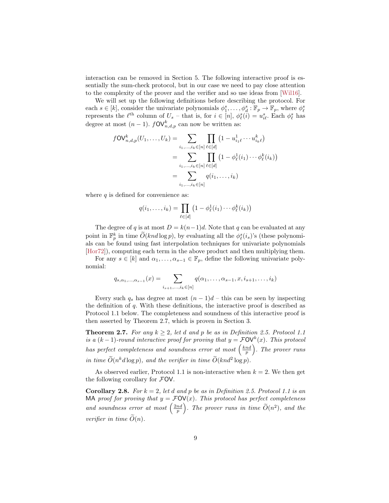interaction can be removed in Section [5.](#page-18-0) The following interactive proof is essentially the sum-check protocol, but in our case we need to pay close attention to the complexity of the prover and the verifier and so use ideas from [\[Wil16\]](#page-26-4).

We will set up the following definitions before describing the protocol. For each  $s \in [k]$ , consider the univariate polynomials  $\phi_1^s, \ldots, \phi_d^s : \mathbb{F}_p \to \mathbb{F}_p$ , where  $\phi_\ell^s$ represents the  $\ell^{\text{th}}$  column of  $U_s$  – that is, for  $i \in [n]$ ,  $\phi_\ell^s(i) = u_{i\ell}^s$ . Each  $\phi_\ell^s$  has degree at most  $(n-1)$ .  $f\text{OV}_{n,d,p}^k$  can now be written as:

$$
f \textsf{OV}_{n,d,p}^k (U_1, \ldots, U_k) = \sum_{i_1, \ldots, i_k \in [n]} \prod_{\ell \in [d]} (1 - u_{i_1 \ell}^1 \cdots u_{i_k \ell}^k)
$$
  
= 
$$
\sum_{i_1, \ldots, i_k \in [n]} \prod_{\ell \in [d]} (1 - \phi_{\ell}^1(i_1) \cdots \phi_{\ell}^k(i_k))
$$
  
= 
$$
\sum_{i_1, \ldots, i_k \in [n]} q(i_1, \ldots, i_k)
$$

where  $q$  is defined for convenience as:

$$
q(i_1,\ldots,i_k) = \prod_{\ell \in [d]} \left(1 - \phi_{\ell}^1(i_1)\cdots\phi_{\ell}^k(i_k)\right)
$$

The degree of q is at most  $D = k(n-1)d$ . Note that q can be evaluated at any point in  $\mathbb{F}_p^k$  in time  $\widetilde{O}(knd \log p)$ , by evaluating all the  $\phi_\ell^s(i_s)$ 's (these polynomials can be found using fast interpolation techniques for univariate polynomials [\[Hor72\]](#page-25-9)), computing each term in the above product and then multiplying them.

For any  $s \in [k]$  and  $\alpha_1, \ldots, \alpha_{s-1} \in \mathbb{F}_p$ , define the following univariate polynomial:

$$
q_{s,\alpha_1,\ldots,\alpha_{s-1}}(x)=\sum_{i_{s+1},\ldots,i_k\in [n]}q(\alpha_1,\ldots,\alpha_{s-1},x,i_{s+1},\ldots,i_k)
$$

Every such  $q_s$  has degree at most  $(n-1)d$  – this can be seen by inspecting the definition of q. With these definitions, the interactive proof is described as Protocol [1.1](#page-9-1) below. The completeness and soundness of this interactive proof is then asserted by Theorem [2.7,](#page-8-0) which is proven in Section [3.](#page-11-0)

<span id="page-8-0"></span>**Theorem 2.7.** For any  $k \geq 2$ , let d and p be as in Definition [2.5.](#page-7-1) Protocol [1.1](#page-9-1) is a  $(k-1)$ -round interactive proof for proving that  $y = \mathcal{F} \mathsf{OV}^k(x)$ . This protocol has perfect completeness and soundness error at most  $\left(\frac{knd}{p}\right)$ . The prover runs in time  $\widetilde{O}(n^k d \log p)$ , and the verifier in time  $\widetilde{O}(knd^2 \log p)$ .

As observed earlier, Protocol [1.1](#page-9-1) is non-interactive when  $k = 2$ . We then get the following corollary for FOV.

<span id="page-8-1"></span>**Corollary 2.8.** For  $k = 2$ , let d and p be as in Definition [2.5.](#page-7-1) Protocol [1.1](#page-9-1) is an MA proof for proving that  $y = \text{FOV}(x)$ . This protocol has perfect completeness and soundness error at most  $\left(\frac{2nd}{p}\right)$ . The prover runs in time  $\widetilde{O}(n^2)$ , and the verifier in time  $\widetilde{O}(n)$ .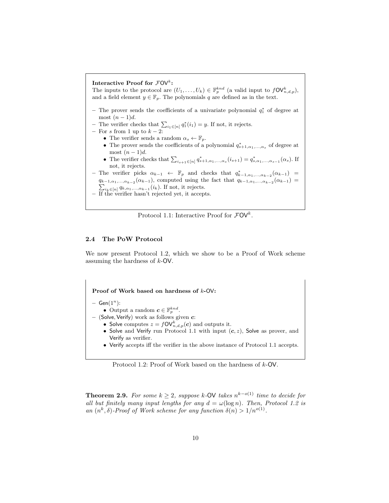#### <span id="page-9-1"></span>Interactive Proof for  $\mathcal{F} \mathsf{OV}^k$ :

The inputs to the protocol are  $(U_1, \ldots, U_k) \in \mathbb{F}_p^{knd}$  (a valid input to  $f\text{OV}_{n,d,p}^k$ ), and a field element  $y \in \mathbb{F}_p$ . The polynomials q are defined as in the text.

- $-$  The prover sends the coefficients of a univariate polynomial  $q_1^*$  of degree at most  $(n-1)d$ .
- The verifier checks that  $\sum_{i_1 \in [n]} q_1^*(i_1) = y$ . If not, it rejects.
- For  $s$  from 1 up to  $k$  2:
	- The verifier sends a random  $\alpha_s \leftarrow \mathbb{F}_p$ .
	- The prover sends the coefficients of a polynomial  $q_{s+1,\alpha_1,\dots,\alpha_s}^*$  of degree at most  $(n-1)d$ .
	- The verifier checks that  $\sum_{i_{s+1}\in [n]} q_{s+1,\alpha_1,\dots,\alpha_s}^*(i_{s+1}) = q_{s,\alpha_1,\dots,\alpha_{s-1}}^*(\alpha_s)$ . If not, it rejects.

– The verifier picks  $\alpha_{k-1}$  ←  $\mathbb{F}_p$  and checks that  $q_{k-1,\alpha_1,\dots,\alpha_{k-2}}^*(\alpha_{k-1})$  =  $q_{k-1,\alpha_1,\ldots,\alpha_{k-2}}(\alpha_{k-1}),$  computed using the fact that  $q_{k-1,\alpha_1,\ldots,\alpha_{k-2}}(\alpha_{k-1})=$ 

- $\sum_{i_k \in [n]} q_{k,\alpha_1,\ldots,\alpha_{k-1}}(i_k)$ . If not, it rejects.
- If the verifier hasn't rejected yet, it accepts.

Protocol 1.1: Interactive Proof for  $\mathcal{F}$ OV<sup>k</sup>.

#### <span id="page-9-0"></span>2.4 The PoW Protocol

We now present Protocol [1.2,](#page-9-2) which we show to be a Proof of Work scheme assuming the hardness of  $k$ -OV.

#### <span id="page-9-2"></span>Proof of Work based on hardness of k-OV:

 $-$  Gen $(1^n)$ :

- Output a random  $\boldsymbol{c} \in \mathbb{F}_p^{knd}$ .
- (Solve, Verify) work as follows given c:
	- Solve computes  $z = f\mathsf{OV}_{n,d,p}^k(c)$  and outputs it.
	- Solve and Verify run Protocol [1.1](#page-9-1) with input  $(c, z)$ , Solve as prover, and Verify as verifier.
	- Verify accepts iff the verifier in the above instance of Protocol [1.1](#page-9-1) accepts.

Protocol 1.2: Proof of Work based on the hardness of  $k$ -OV.

<span id="page-9-3"></span>**Theorem 2.9.** For some  $k \geq 2$ , suppose k-OV takes  $n^{k-o(1)}$  time to decide for all but finitely many input lengths for any  $d = \omega(\log n)$ . Then, Protocol [1.2](#page-9-2) is an  $(n^k, \delta)$ -Proof of Work scheme for any function  $\delta(n) > 1/n^{o(1)}$ .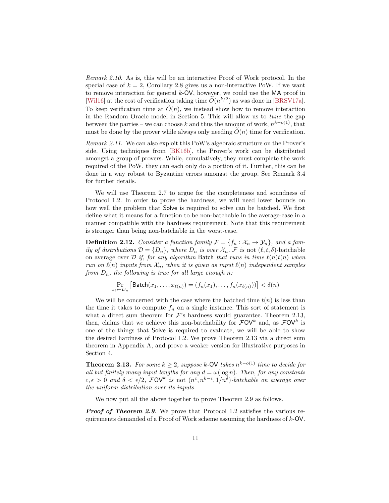Remark 2.10. As is, this will be an interactive Proof of Work protocol. In the special case of  $k = 2$ , Corollary [2.8](#page-8-1) gives us a non-interactive PoW. If we want to remove interaction for general  $k$ -OV, however, we could use the MA proof in [\[Wil16\]](#page-26-4) at the cost of verification taking time  $\widetilde{O}(n^{k/2})$  as was done in [\[BRSV17a\]](#page-25-1). To keep verification time at  $\tilde{O}(n)$ , we instead show how to remove interaction in the Random Oracle model in Section [5.](#page-18-0) This will allow us to tune the gap between the parties – we can choose k and thus the amount of work,  $n^{k-o(1)}$ , that must be done by the prover while always only needing  $O(n)$  time for verification.

Remark 2.11. We can also exploit this PoW's algebraic structure on the Prover's side. Using techniques from [\[BK16b\]](#page-25-3), the Prover's work can be distributed amongst a group of provers. While, cumulatively, they must complete the work required of the PoW, they can each only do a portion of it. Further, this can be done in a way robust to Byzantine errors amongst the group. See Remark [3.4](#page-13-0) for further details.

We will use Theorem [2.7](#page-8-0) to argue for the completeness and soundness of Protocol [1.2.](#page-9-2) In order to prove the hardness, we will need lower bounds on how well the problem that Solve is required to solve can be batched. We first define what it means for a function to be non-batchable in the average-case in a manner compatible with the hardness requirement. Note that this requirement is stronger than being non-batchable in the worst-case.

<span id="page-10-1"></span>**Definition 2.12.** Consider a function family  $\mathcal{F} = \{f_n : \mathcal{X}_n \to \mathcal{Y}_n\}$ , and a family of distributions  $\mathcal{D} = \{D_n\}$ , where  $D_n$  is over  $\mathcal{X}_n$ . F is not  $(\ell, t, \delta)$ -batchable on average over  $\mathcal D$  if, for any algorithm Batch that runs in time  $\ell(n)t(n)$  when run on  $\ell(n)$  inputs from  $\mathcal{X}_n$ , when it is given as input  $\ell(n)$  independent samples from  $D_n$ , the following is true for all large enough n:

$$
\Pr_{x_i \leftarrow D_n} \left[ \mathsf{Batch}(x_1, \ldots, x_{\ell(n)}) = (f_n(x_1), \ldots, f_n(x_{\ell(n)})) \right] < \delta(n)
$$

We will be concerned with the case where the batched time  $t(n)$  is less than the time it takes to compute  $f_n$  on a single instance. This sort of statement is what a direct sum theorem for  $\mathcal{F}'$ 's hardness would guarantee. Theorem [2.13,](#page-10-0) then, claims that we achieve this non-batchability for  $\mathcal{F}OV^k$  and, as  $\mathcal{FOV}^k$  is one of the things that Solve is required to evaluate, we will be able to show the desired hardness of Protocol [1.2.](#page-9-2) We prove Theorem [2.13](#page-10-0) via a direct sum theorem in Appendix [A,](#page-26-5) and prove a weaker version for illustrative purposes in Section [4.](#page-14-0)

<span id="page-10-0"></span>**Theorem 2.13.** For some  $k \geq 2$ , suppose k-OV takes  $n^{k-o(1)}$  time to decide for all but finitely many input lengths for any  $d = \omega(\log n)$ . Then, for any constants  $c, \epsilon > 0$  and  $\delta < \epsilon/2$ ,  $\mathcal{F} \mathsf{O} \mathsf{V}^k$  is not  $(n^c, n^{k-\epsilon}, 1/n^{\delta})$ -batchable on average over the uniform distribution over its inputs.

We now put all the above together to prove Theorem [2.9](#page-9-3) as follows.

**Proof of Theorem [2.9](#page-9-3).** We prove that Protocol [1.2](#page-9-2) satisfies the various requirements demanded of a Proof of Work scheme assuming the hardness of k-OV.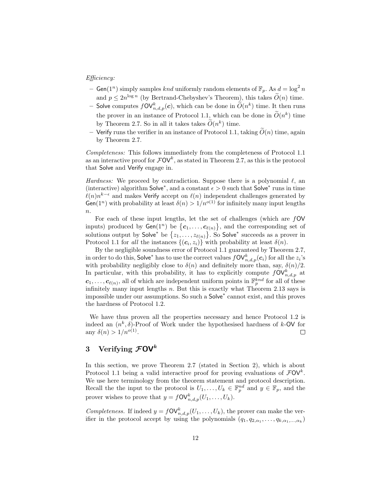#### Efficiency:

- Gen(1<sup>n</sup>) simply samples *knd* uniformly random elements of  $\mathbb{F}_p$ . As  $d = \log^2 n$ and  $p \leq 2n^{\log n}$  (by Bertrand-Chebyshev's Theorem), this takes  $\widetilde{O}(n)$  time.
- Solve computes  $f\textsf{OV}_{n,d,p}^k(c)$ , which can be done in  $\widetilde{O}(n^k)$  time. It then runs the prover in an instance of Protocol [1.1,](#page-9-1) which can be done in  $\widetilde{O}(n^k)$  time by Theorem [2.7.](#page-8-0) So in all it takes takes  $\widetilde{O}(n^k)$  time.
- Verify runs the verifier in an instance of Protocol [1.1,](#page-9-1) taking  $\tilde{O}(n)$  time, again by Theorem [2.7.](#page-8-0)

Completeness: This follows immediately from the completeness of Protocol [1.1](#page-9-1) as an interactive proof for  $\mathcal{FOV}^k$ , as stated in Theorem [2.7,](#page-8-0) as this is the protocol that Solve and Verify engage in.

Hardness: We proceed by contradiction. Suppose there is a polynomial  $\ell$ , and (interactive) algorithm  $Solve^*$ , and a constant  $\epsilon > 0$  such that  $Solve^*$  runs in time  $\ell(n)n^{k-\epsilon}$  and makes Verify accept on  $\ell(n)$  independent challenges generated by **Gen**(1<sup>n</sup>) with probability at least  $\delta(n) > 1/n^{o(1)}$  for infinitely many input lengths  $\overline{n}$ .

For each of these input lengths, let the set of challenges (which are fOV inputs) produced by  $Gen(1^n)$  be  $\{c_1, \ldots, c_{\ell(n)}\}$ , and the corresponding set of solutions output by Solve<sup>\*</sup> be  $\{z_1, \ldots, z_{\ell(n)}\}$ . So Solve<sup>\*</sup> succeeds as a prover in Protocol [1.1](#page-9-1) for all the instances  $\{(\mathbf{c}_i, z_i)\}$  with probability at least  $\delta(n)$ .

By the negligible soundness error of Protocol [1.1](#page-9-1) guaranteed by Theorem [2.7,](#page-8-0) in order to do this, Solve $^*$  has to use the correct values  $f\mathsf{OV}_{n,d,p}^k(\bm{c}_i)$  for all the  $z_i$ 's with probability negligibly close to  $\delta(n)$  and definitely more than, say,  $\delta(n)/2$ . In particular, with this probability, it has to explicitly compute  $f\text{OV}_{n,d,p}^k$  at  $c_1, \ldots, c_{\ell(n)}$ , all of which are independent uniform points in  $\mathbb{F}_p^{knd}$  for all of these infinitely many input lengths  $n$ . But this is exactly what Theorem [2.13](#page-10-0) says is impossible under our assumptions. So such a Solve<sup>∗</sup> cannot exist, and this proves the hardness of Protocol [1.2.](#page-9-2)

We have thus proven all the properties necessary and hence Protocol [1.2](#page-9-2) is indeed an  $(n^k, \delta)$ -Proof of Work under the hypothesised hardness of k-OV for any  $\delta(n) > 1/n^{o(1)}$ .  $\Box$ 

# <span id="page-11-0"></span>3 Verifying  $\mathcal{F}$ OV<sup>k</sup>

In this section, we prove Theorem [2.7](#page-8-0) (stated in Section [2\)](#page-4-1), which is about Protocol [1.1](#page-9-1) being a valid interactive proof for proving evaluations of  $\mathcal{F}O\mathsf{V}^k$ . We use here terminology from the theorem statement and protocol description. Recall the the input to the protocol is  $U_1, \ldots, U_k \in \mathbb{F}_p^{nd}$  and  $y \in \mathbb{F}_p$ , and the prover wishes to prove that  $y = f \text{OV}_{n,d,p}^k(U_1, \ldots, U_k)$ .

Completeness. If indeed  $y = f\text{OV}_{n,d,p}^k(U_1,\ldots,U_k)$ , the prover can make the verifier in the protocol accept by using the polynomials  $(q_1, q_{2,\alpha_1}, \ldots, q_{k,\alpha_1,\ldots,\alpha_k})$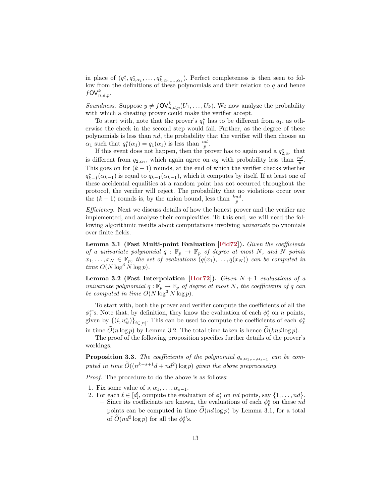in place of  $(q_1^*, q_{2,\alpha_1}^*, \ldots, q_{k,\alpha_1,\ldots,\alpha_k}^*)$ . Perfect completeness is then seen to follow from the definitions of these polynomials and their relation to  $q$  and hence  $f$ OV $_{n,d,p}^k$ .

*Soundness.* Suppose  $y \neq f\mathsf{OV}_{n,d,p}^k(U_1,\ldots,U_k)$ . We now analyze the probability with which a cheating prover could make the verifier accept.

To start with, note that the prover's  $q_1^*$  has to be different from  $q_1$ , as otherwise the check in the second step would fail. Further, as the degree of these polynomials is less than nd, the probability that the verifier will then choose an  $\alpha_1$  such that  $q_1^*(\alpha_1) = q_1(\alpha_1)$  is less than  $\frac{nd}{p}$ .

If this event does not happen, then the prover has to again send a  $q_{2,\alpha_1}^*$  that is different from  $q_{2,\alpha_1}$ , which again agree on  $\alpha_2$  with probability less than  $\frac{nd}{p}$ . This goes on for  $(k - 1)$  rounds, at the end of which the verifier checks whether  $q_{k-1}^*(\alpha_{k-1})$  is equal to  $q_{k-1}(\alpha_{k-1})$ , which it computes by itself. If at least one of these accidental equalities at a random point has not occurred throughout the protocol, the verifier will reject. The probability that no violations occur over the  $(k-1)$  rounds is, by the union bound, less than  $\frac{knd}{p}$ .

Efficiency. Next we discuss details of how the honest prover and the verifier are implemented, and analyze their complexities. To this end, we will need the following algorithmic results about computations involving univariate polynomials over finite fields.

<span id="page-12-1"></span>Lemma 3.1 (Fast Multi-point Evaluation [\[Fid72\]](#page-25-10)). Given the coefficients of a univariate polynomial  $q : \mathbb{F}_p \to \mathbb{F}_p$  of degree at most N, and N points  $x_1, \ldots, x_N \in \mathbb{F}_p$ , the set of evaluations  $(q(x_1), \ldots, q(x_N))$  can be computed in time  $O(N \log^3 N \log p)$ .

<span id="page-12-0"></span>**Lemma 3.2 (Fast Interpolation [\[Hor72\]](#page-25-9)).** Given  $N + 1$  evaluations of a univariate polynomial  $q : \mathbb{F}_p \to \mathbb{F}_p$  of degree at most N, the coefficients of q can be computed in time  $O(N \log^3 N \log p)$ .

To start with, both the prover and verifier compute the coefficients of all the  $\phi_{\ell}^{s}$ 's. Note that, by definition, they know the evaluation of each  $\phi_{\ell}^{s}$  on n points, given by  $\{(i, u_{i\ell}^s)\}_{i\in[n]}$ . This can be used to compute the coefficients of each  $\phi_{\ell}^s$ in time  $O(n \log p)$  by Lemma [3.2.](#page-12-0) The total time taken is hence  $O(knd \log p)$ .

The proof of the following proposition specifies further details of the prover's workings.

**Proposition 3.3.** The coefficients of the polynomial  $q_{s,\alpha_1,...,\alpha_{s-1}}$  can be computed in time  $\widetilde{O}((n^{k-s+1}d + nd^2) \log p)$  given the above preprocessing.

Proof. The procedure to do the above is as follows:

- 1. Fix some value of  $s, \alpha_1, \ldots, \alpha_{s-1}$ .
- 2. For each  $\ell \in [d]$ , compute the evaluation of  $\phi_{\ell}^{s}$  on nd points, say  $\{1, \ldots, nd\}$ . – Since its coefficients are known, the evaluations of each  $\phi_{\ell}^{s}$  on these nd points can be computed in time  $O(nd \log p)$  by Lemma [3.1,](#page-12-1) for a total of  $\tilde{O}(nd^2 \log p)$  for all the  $\phi_{\ell}^{s}$ 's.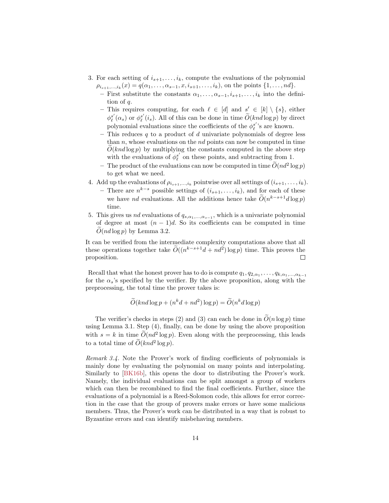- 3. For each setting of  $i_{s+1}, \ldots, i_k$ , compute the evaluations of the polynomial  $\rho_{i_{s+1},...,i_k}(x) = q(\alpha_1,...,\alpha_{s-1},x,i_{s+1},...,i_k)$ , on the points  $\{1,...,nd\}$ .
	- First substitute the constants  $\alpha_1, \ldots, \alpha_{s-1}, i_{s+1}, \ldots, i_k$  into the definition of q.
	- This requires computing, for each  $\ell \in [d]$  and  $s' \in [k] \setminus \{s\}$ , either  $\phi_{\ell}^{s'}(\alpha_s)$  or  $\phi_{\ell}^{s'}(i_s)$ . All of this can be done in time  $\tilde{O}(knd \log p)$  by direct polynomial evaluations since the coefficients of the  $\phi_{\ell}^{s'}$ 's are known.
	- This reduces  $q$  to a product of  $d$  univariate polynomials of degree less than  $n$ , whose evaluations on the  $nd$  points can now be computed in time  $O(knd \log p)$  by multiplying the constants computed in the above step with the evaluations of  $\phi_{\ell}^{s'}$  on these points, and subtracting from 1.
	- The product of the evaluations can now be computed in time  $\tilde{O}(nd^2 \log p)$ to get what we need.
- 4. Add up the evaluations of  $\rho_{i_{s+1},...,i_k}$  pointwise over all settings of  $(i_{s+1},...,i_k)$ .
	- There are  $n^{k-s}$  possible settings of  $(i_{s+1},...,i_k)$ , and for each of these we have *nd* evaluations. All the additions hence take  $\tilde{O}(n^{k-s+1}d\log p)$ time.
- 5. This gives us *nd* evaluations of  $q_{s,\alpha_1,\dots,\alpha_{s-1}}$ , which is a univariate polynomial of degree at most  $(n-1)d$ . So its coefficients can be computed in time  $O(nd \log p)$  by Lemma [3.2.](#page-12-0)

It can be verified from the intermediate complexity computations above that all these operations together take  $\widetilde{O}((n^{k-s+1}d + nd^2) \log p)$  time. This proves the proposition.  $\Box$ 

Recall that what the honest prover has to do is compute  $q_1, q_{2,\alpha_1}, \ldots, q_{k,\alpha_1,\ldots,\alpha_{k-1}}$ for the  $\alpha_s$ 's specified by the verifier. By the above proposition, along with the preprocessing, the total time the prover takes is:

$$
\widetilde{O}(knd \log p + (n^k d + nd^2) \log p) = \widetilde{O}(n^k d \log p)
$$

The verifier's checks in steps (2) and (3) can each be done in  $\tilde{O}(n \log p)$  time using Lemma [3.1.](#page-12-1) Step (4), finally, can be done by using the above proposition with  $s = k$  in time  $O(n d^2 \log p)$ . Even along with the preprocessing, this leads to a total time of  $\widetilde{O}(knd^2 \log p)$ .

<span id="page-13-0"></span>Remark 3.4. Note the Prover's work of finding coefficients of polynomials is mainly done by evaluating the polynomial on many points and interpolating. Similarly to [\[BK16b\]](#page-25-3), this opens the door to distributing the Prover's work. Namely, the individual evaluations can be split amongst a group of workers which can then be recombined to find the final coefficients. Further, since the evaluations of a polynomial is a Reed-Solomon code, this allows for error correction in the case that the group of provers make errors or have some malicious members. Thus, the Prover's work can be distributed in a way that is robust to Byzantine errors and can identify misbehaving members.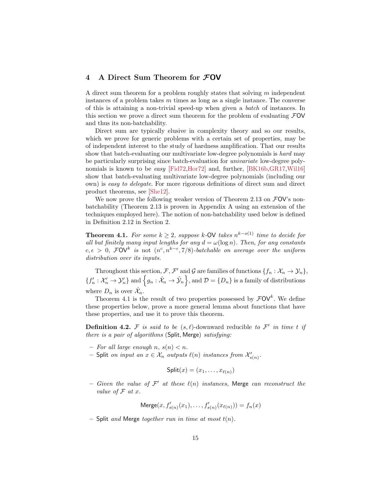## <span id="page-14-0"></span>4 A Direct Sum Theorem for FOV

A direct sum theorem for a problem roughly states that solving  $m$  independent instances of a problem takes  $m$  times as long as a single instance. The converse of this is attaining a non-trivial speed-up when given a batch of instances. In this section we prove a direct sum theorem for the problem of evaluating  $\mathcal{F}$ OV and thus its non-batchability.

Direct sum are typically elusive in complexity theory and so our results, which we prove for generic problems with a certain set of properties, may be of independent interest to the study of hardness amplification. That our results show that batch-evaluating our multivariate low-degree polynomials is hard may be particularly surprising since batch-evaluation for univariate low-degree polynomials is known to be easy [\[Fid72](#page-25-10)[,Hor72\]](#page-25-9) and, further, [\[BK16b](#page-25-3)[,GR17](#page-25-7)[,Wil16\]](#page-26-4) show that batch-evaluating multivariate low-degree polynomials (including our own) is easy to delegate. For more rigorous definitions of direct sum and direct product theorems, see [\[She12\]](#page-26-6).

We now prove the following weaker version of Theorem [2.13](#page-10-0) on  $\mathcal{F}OV$ 's nonbatchability (Theorem [2.13](#page-10-0) is proven in Appendix [A](#page-26-5) using an extension of the techniques employed here). The notion of non-batchability used below is defined in Definition [2.12](#page-10-1) in Section [2.](#page-4-1)

<span id="page-14-1"></span>**Theorem 4.1.** For some  $k \geq 2$ , suppose k-OV takes  $n^{k-o(1)}$  time to decide for all but finitely many input lengths for any  $d = \omega(\log n)$ . Then, for any constants  $c, \epsilon > 0$ , FOV<sup>k</sup> is not  $(n^c, n^{k-\epsilon}, 7/8)$ -batchable on average over the uniform distribution over its inputs.

Throughout this section, F, F' and G are families of functions  $\{f_n : \mathcal{X}_n \to \mathcal{Y}_n\}$ ,  ${f'_n : \mathcal{X}'_n \to \mathcal{Y}'_n}$  and  $\left\{ g_n : \hat{\mathcal{X}}_n \to \hat{\mathcal{Y}}_n \right\}$ , and  $\mathcal{D} = \{D_n\}$  is a family of distributions where  $D_n$  is over  $\hat{\mathcal{X}}_n$ .

Theorem [4.1](#page-14-1) is the result of two properties possessed by  $\mathcal{F}OV^k$ . We define these properties below, prove a more general lemma about functions that have these properties, and use it to prove this theorem.

**Definition 4.2.** F is said to be  $(s, l)$ -downward reducible to F' in time t if there is a pair of algorithms (Split, Merge) satisfying:

- For all large enough n,  $s(n) < n$ .
- Split on input an  $x \in \mathcal{X}_n$  outputs  $\ell(n)$  instances from  $\mathcal{X}'_{s(n)}$ .

$$
\mathsf{Split}(x) = (x_1, \ldots, x_{\ell(n)})
$$

- Given the value of  $\mathcal{F}'$  at these  $\ell(n)$  instances, Merge can reconstruct the value of  $\mathcal F$  at  $x$ .

$$
Merge(x, f'_{s(n)}(x_1), \ldots, f'_{s(n)}(x_{\ell(n)})) = f_n(x)
$$

– Split and Merge together run in time at most  $t(n)$ .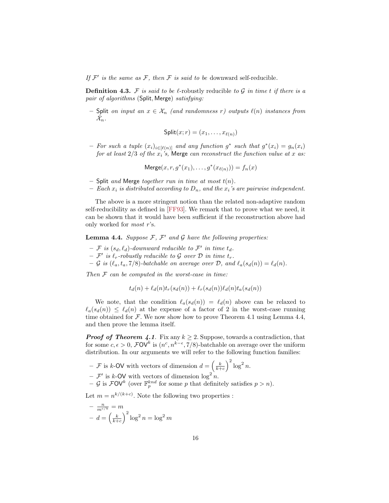If  $\mathcal{F}'$  is the same as  $\mathcal{F}$ , then  $\mathcal F$  is said to be downward self-reducible.

**Definition 4.3.** F is said to be  $\ell$ -robustly reducible to G in time t if there is a pair of algorithms (Split, Merge) satisfying:

– Split on input an  $x \in \mathcal{X}_n$  (and randomness r) outputs  $\ell(n)$  instances from  $\hat{\mathcal{X}_n}$  .

$$
\mathsf{Split}(x; r) = (x_1, \ldots, x_{\ell(n)})
$$

- For such a tuple  $(x_i)_{i \in [\ell(n)]}$  and any function  $g^*$  such that  $g^*(x_i) = g_n(x_i)$ for at least  $2/3$  of the  $x_i$ 's, Merge can reconstruct the function value at x as:

Merge $(x, r, g^*(x_1), \ldots, g^*(x_{\ell(n)})) = f_n(x)$ 

- Split and Merge together run in time at most  $t(n)$ .
- Each  $x_i$  is distributed according to  $D_n$ , and the  $x_i$ 's are pairwise independent.

The above is a more stringent notion than the related non-adaptive random self-reducibility as defined in [\[FF93\]](#page-25-11). We remark that to prove what we need, it can be shown that it would have been sufficient if the reconstruction above had only worked for most r's.

<span id="page-15-0"></span>**Lemma 4.4.** Suppose  $\mathcal{F}, \mathcal{F}'$  and  $\mathcal{G}$  have the following properties:

- $-$  F is  $(s_d, \ell_d)$ -downward reducible to F' in time  $t_d$ .  $\mathcal{F}'$  is  $\ell_r$ -robustly reducible to  $\mathcal G$  over  $\mathcal D$  in time  $t_r$ .
- G is  $(\ell_a, t_a, 7/8)$ -batchable on average over D, and  $\ell_a(s_d(n)) = \ell_d(n)$ .

Then  $F$  can be computed in the worst-case in time:

$$
t_d(n) + \ell_d(n)t_r(s_d(n)) + \ell_r(s_d(n))\ell_d(n)t_a(s_d(n))
$$

We note, that the condition  $\ell_a(s_d(n)) = \ell_d(n)$  above can be relaxed to  $\ell_a(s_d(n)) \leq \ell_d(n)$  at the expense of a factor of 2 in the worst-case running time obtained for  $F$ . We now show how to prove Theorem [4.1](#page-14-1) using Lemma [4.4,](#page-15-0) and then prove the lemma itself.

**Proof of Theorem [4.1](#page-14-1).** Fix any  $k \geq 2$ . Suppose, towards a contradiction, that for some  $c, \epsilon > 0$ ,  $\mathcal{F} \mathsf{O} \mathsf{V}^k$  is  $(n^c, n^{k-\epsilon}, 7/8)$ -batchable on average over the uniform distribution. In our arguments we will refer to the following function families:

- $-\mathcal{F}$  is k-OV with vectors of dimension  $d = \left(\frac{k}{k+c}\right)^2 \log^2 n$ .  $\mathcal{F}'$  is k-OV with vectors of dimension  $\log^2 n$ .
- $-\mathcal{G}$  is  $\mathcal{F} \mathsf{O} \mathsf{V}^k$  (over  $\mathbb{F}_p^{knd}$  for some p that definitely satisfies  $p > n$ ).

Let  $m = n^{k/(k+c)}$ . Note the following two properties :

$$
-\frac{n}{m^{c/k}} = m
$$
  
-  $d = \left(\frac{k}{k+c}\right)^2 \log^2 n = \log^2 m$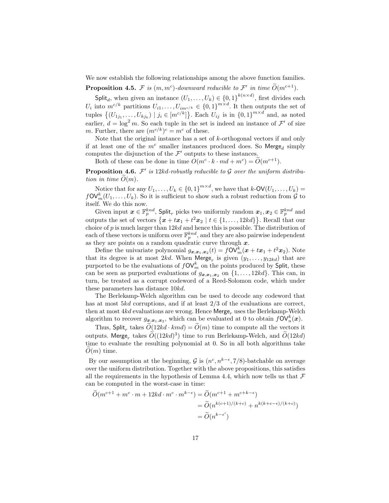We now establish the following relationships among the above function families.

<span id="page-16-0"></span>**Proposition 4.5.**  $\mathcal{F}$  is  $(m, m^c)$ -downward reducible to  $\mathcal{F}'$  in time  $\widetilde{O}(m^{c+1})$ .

Split<sub>d</sub>, when given an instance  $(U_1, \ldots, U_k) \in \{0,1\}^{k(n \times d)}$ , first divides each  $U_i$  into  $m^{c/k}$  partitions  $U_{i1}, \ldots, U_{im^{c/k}} \in \{0,1\}^{m \times d}$ . It then outputs the set of tuples  $\{(U_{1j_1},...,U_{kj_k}) \mid j_i \in [m^{c/k}]\}$ . Each  $U_{ij}$  is in  $\{0,1\}^{m \times d}$  and, as noted earlier,  $d = \log^2 m$ . So each tuple in the set is indeed an instance of  $\mathcal{F}'$  of size m. Further, there are  $(m^{c/k})^c = m^c$  of these.

Note that the original instance has a set of k-orthogonal vectors if and only if at least one of the  $m^c$  smaller instances produced does. So Merge<sub>d</sub> simply computes the disjunction of the  $\mathcal{F}'$  outputs to these instances.

Both of these can be done in time  $O(m^c \cdot k \cdot md + m^c) = \widetilde{O}(m^{c+1}).$ 

**Proposition 4.6.**  $\mathcal{F}'$  is 12kd-robustly reducible to  $\mathcal{G}$  over the uniform distribution in time  $O(m)$ .

Notice that for any  $U_1, \ldots, U_k \in \{0,1\}^{m \times d}$ , we have that  $k$ -OV $(U_1, \ldots, U_k)$  =  $f\mathsf{OV}_{m}^{k}(U_1,\ldots,U_k)$ . So it is sufficient to show such a robust reduction from  $\mathcal G$  to itself. We do this now.

Given input  $\bm{x} \in \mathbb{F}_p^{knd}$ , Split<sub>r</sub> picks two uniformly random  $\bm{x}_1, \bm{x}_2 \in \mathbb{F}_p^{knd}$  and outputs the set of vectors  $\{x + tx_1 + t^2x_2 \mid t \in \{1, ..., 12kd\}\}\.$  Recall that our choice of p is much larger than  $12kd$  and hence this is possible. The distribution of each of these vectors is uniform over  $\mathbb{F}_p^{knd}$ , and they are also pairwise independent as they are points on a random quadratic curve through  $x$ .

Define the univariate polynomial  $g_{\bm{x},\bm{x}_1,\bm{x}_2}(t) = f\textsf{OV}_m^k(\bm{x} + t\bm{x}_1 + t^2\bm{x}_2)$ . Note that its degree is at most 2kd. When  $\mathsf{Merge}_r$  is given  $(y_1, \ldots, y_{12kd})$  that are purported to be the evaluations of  $f\mathsf{OV}_m^k$  on the points produced by Split, these can be seen as purported evaluations of  $g_{\mathbf{x},\mathbf{x}_1,\mathbf{x}_2}$  on  $\{1,\ldots,12kd\}$ . This can, in turn, be treated as a corrupt codeword of a Reed-Solomon code, which under these parameters has distance 10kd.

The Berlekamp-Welch algorithm can be used to decode any codeword that has at most 5kd corruptions, and if at least 2/3 of the evaluations are correct, then at most  $4kd$  evaluations are wrong. Hence Merge<sub>r</sub> uses the Berlekamp-Welch algorithm to recover  $g_{\bm{x},\bm{x}_1,\bm{x}_2}$ , which can be evaluated at 0 to obtain  $f\text{OV}_n^k(\bm{x})$ .

Thus, Split<sub>r</sub> takes  $O(12kd \cdot kmd) = O(m)$  time to compute all the vectors it outputs. Merge<sub>r</sub> takes  $\widetilde{O}((12kd)^3)$  time to run Berlekamp-Welch, and  $\widetilde{O}(12kd)$ time to evaluate the resulting polynomial at 0. So in all both algorithms take  $O(m)$  time.

By our assumption at the beginning,  $\mathcal G$  is  $(n^c, n^{k-\epsilon}, 7/8)$ -batchable on average over the uniform distribution. Together with the above propositions, this satisfies all the requirements in the hypothesis of Lemma [4.4,](#page-15-0) which now tells us that  $\mathcal F$ can be computed in the worst-case in time:

$$
\widetilde{O}(m^{c+1} + m^c \cdot m + 12kd \cdot m^c \cdot m^{k-\epsilon}) = \widetilde{O}(m^{c+1} + m^{c+k-\epsilon})
$$
  
= 
$$
\widetilde{O}(n^{k(c+1)/(k+c)} + n^{k(k+c-\epsilon)/(k+c)})
$$
  
= 
$$
\widetilde{O}(n^{k-\epsilon'})
$$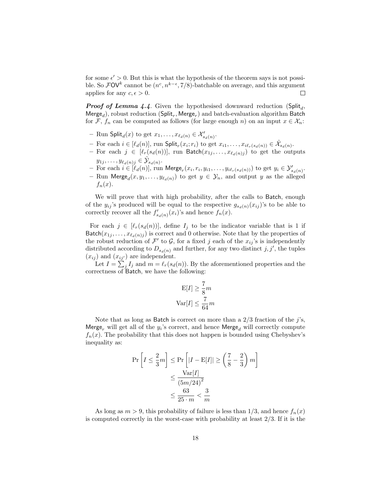for some  $\epsilon' > 0$ . But this is what the hypothesis of the theorem says is not possible. So  $\mathcal{F}$ OV<sup>k</sup> cannot be  $(n^c, n^{k-\epsilon}, 7/8)$ -batchable on average, and this argument applies for any  $c, \epsilon > 0$ .  $\Box$ 

**Proof of Lemma [4.4](#page-15-0)**. Given the hypothesised downward reduction (Split<sub>d</sub>,  $\mathsf{Merge}_d$ ), robust reduction (Split<sub>r</sub>, Merge<sub>r</sub>) and batch-evaluation algorithm Batch for F,  $f_n$  can be computed as follows (for large enough n) on an input  $x \in \mathcal{X}_n$ :

- Run Split<sub>d</sub> $(x)$  to get  $x_1, \ldots, x_{\ell_d(n)} \in \mathcal{X}'_{s_d(n)}$ .
- For each  $i \in [\ell_d(n)]$ , run Split<sub>r</sub> $(x_i; r_i)$  to get  $x_{i1}, \ldots, x_{i\ell_r(s_d(n))} \in \hat{\mathcal{X}}_{s_d(n)}$ .
- For each  $j \in [\ell_r(s_d(n))]$ , run Batch $(x_{1j},...,x_{\ell_d(n)j})$  to get the outputs  $y_{1j}, \ldots, y_{\ell_d(n)j} \in \hat{\mathcal{Y}}_{s_d(n)}.$
- For each  $i \in [\ell_d(n)]$ , run Merge<sub>r</sub> $(x_i, r_i, y_{i1}, \ldots, y_{i\ell_r(s_d(n))})$  to get  $y_i \in \mathcal{Y}'_{s_d(n)}$ .
- Run Merge $_d(x, y_1, \ldots, y_{\ell_d(n)})$  to get  $y \in \mathcal{Y}_n$ , and output y as the alleged  $f_n(x)$ .

We will prove that with high probability, after the calls to Batch, enough of the  $y_{ij}$ 's produced will be equal to the respective  $g_{s_d(n)}(x_{ij})$ 's to be able to correctly recover all the  $f'_{s_d(n)}(x_i)$ 's and hence  $f_n(x)$ .

For each  $j \in [\ell_r(s_d(n))]$ , define  $I_j$  to be the indicator variable that is 1 if Batch $(x_{1j}, \ldots, x_{\ell_d(n)_j})$  is correct and 0 otherwise. Note that by the properties of the robust reduction of  $\mathcal{F}'$  to  $\mathcal{G}$ , for a fixed j each of the  $x_{ij}$ 's is independently distributed according to  $D_{s_d(n)}$  and further, for any two distinct j, j', the tuples  $(x_{ij})$  and  $(x_{ij})$  are independent.

Let  $I = \sum_j I_j$  and  $m = \ell_r(s_d(n))$ . By the aforementioned properties and the correctness of Batch, we have the following:

$$
E[I] \ge \frac{7}{8}m
$$

$$
Var[I] \le \frac{7}{64}m
$$

Note that as long as Batch is correct on more than a  $2/3$  fraction of the j's,  $\text{Merge}_r$  will get all of the  $y_i$ 's correct, and hence  $\text{Merge}_d$  will correctly compute  $f_n(x)$ . The probability that this does not happen is bounded using Chebyshev's inequality as:

$$
\Pr\left[I \le \frac{2}{3}m\right] \le \Pr\left[|I - \mathcal{E}[I]| \ge \left(\frac{7}{8} - \frac{2}{3}\right)m\right]
$$

$$
\le \frac{\text{Var}[I]}{\left(5m/24\right)^2}
$$

$$
\le \frac{63}{25 \cdot m} < \frac{3}{m}
$$

As long as  $m > 9$ , this probability of failure is less than 1/3, and hence  $f_n(x)$ is computed correctly in the worst-case with probability at least 2/3. If it is the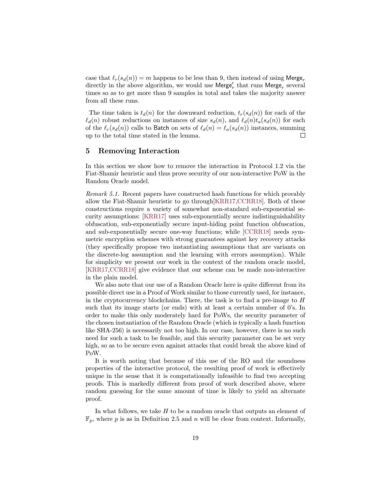case that  $\ell_r(s_d(n)) = m$  happens to be less than 9, then instead of using Merge<sub>r</sub> directly in the above algorithm, we would use  $\mathsf{Merge}'_r$  that runs  $\mathsf{Merge}_r$  several times so as to get more than 9 samples in total and takes the majority answer from all these runs.

The time taken is  $t_d(n)$  for the downward reduction,  $t_r(s_d(n))$  for each of the  $\ell_d(n)$  robust reductions on instances of size  $s_d(n)$ , and  $\ell_d(n)t_a(s_d(n))$  for each of the  $\ell_r(s_d(n))$  calls to Batch on sets of  $\ell_d(n) = \ell_a(s_d(n))$  instances, summing up to the total time stated in the lemma. П

### <span id="page-18-0"></span>5 Removing Interaction

In this section we show how to remove the interaction in Protocol [1.2](#page-9-2) via the Fiat-Shamir heuristic and thus prove security of our non-interactive PoW in the Random Oracle model.

Remark 5.1. Recent papers have constructed hash functions for which provably allow the Fiat-Shamir heuristic to go through[\[KRR17,](#page-26-7)[CCRR18\]](#page-25-12). Both of these constructions require a variety of somewhat non-standard sub-exponential security assumptions: [\[KRR17\]](#page-26-7) uses sub-exponentially secure indistinguishability obfuscation, sub-exponentially secure input-hiding point function obfuscation, and sub-exponentially secure one-way functions; while [\[CCRR18\]](#page-25-12) needs symmetric encryption schemes with strong guarantees against key recovery attacks (they specifically propose two instantiating assumptions that are variants on the discrete-log assumption and the learning with errors assumption). While for simplicity we present our work in the context of the random oracle model, [\[KRR17,](#page-26-7)[CCRR18\]](#page-25-12) give evidence that our scheme can be made non-interactive in the plain model.

We also note that our use of a Random Oracle here is quite different from its possible direct use in a Proof of Work similar to those currently used, for instance, in the cryptocurrency blockchains. There, the task is to find a pre-image to  $H$ such that its image starts (or ends) with at least a certain number of 0's. In order to make this only moderately hard for PoWs, the security parameter of the chosen instantiation of the Random Oracle (which is typically a hash function like SHA-256) is necessarily not too high. In our case, however, there is no such need for such a task to be feasible, and this security parameter can be set very high, so as to be secure even against attacks that could break the above kind of PoW.

It is worth noting that because of this use of the RO and the soundness properties of the interactive protocol, the resulting proof of work is effectively unique in the sense that it is computationally infeasible to find two accepting proofs. This is markedly different from proof of work described above, where random guessing for the same amount of time is likely to yield an alternate proof.

In what follows, we take  $H$  to be a random oracle that outputs an element of  $\mathbb{F}_p$ , where p is as in Definition [2.5](#page-7-1) and n will be clear from context. Informally,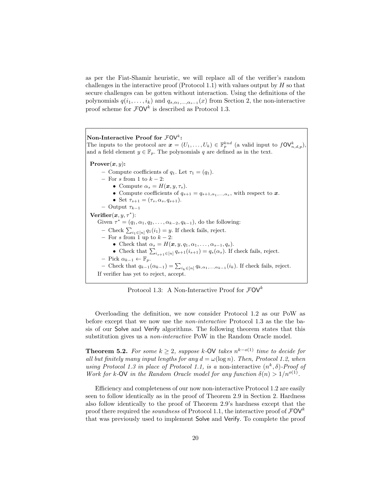as per the Fiat-Shamir heuristic, we will replace all of the verifier's random challenges in the interactive proof (Protocol [1.1\)](#page-9-1) with values output by  $H$  so that secure challenges can be gotten without interaction. Using the definitions of the polynomials  $q(i_1, \ldots, i_k)$  and  $q_{s, \alpha_1, \ldots, \alpha_{s-1}}(x)$  from Section [2,](#page-4-1) the non-interactive proof scheme for  $\mathcal{F}O\mathsf{V}^k$  is described as Protocol [1.3.](#page-19-0)

<span id="page-19-0"></span>Non-Interactive Proof for  $\mathcal{F}\mathsf{OV}^k\text{:}$ The inputs to the protocol are  $\boldsymbol{x} = (U_1, \ldots, U_k) \in \mathbb{F}_p^{knd}$  (a valid input to  $f\textsf{OV}_{n,d,p}^k$ ), and a field element  $y \in \mathbb{F}_p$ . The polynomials q are defined as in the text.  $Prover(x, y)$ : – Compute coefficients of  $q_1$ . Let  $\tau_1 = (q_1)$ . – For s from 1 to  $k-2$ : • Compute  $\alpha_s = H(\boldsymbol{x}, y, \tau_s)$ . • Compute coefficients of  $q_{s+1} = q_{s+1,\alpha_1,\dots,\alpha_s}$ , with respect to  $\boldsymbol{x}$ . • Set  $\tau_{s+1} = (\tau_s, \alpha_s, q_{s+1}).$ – Output τk−<sup>1</sup> Verifier $(x, y, \tau^*)$ : Given  $\tau^* = (q_1, \alpha_1, q_2, \ldots, \alpha_{k-2}, q_{k-1})$ , do the following: – Check  $\sum_{i_1 \in [n]} q_1(i_1) = y$ . If check fails, reject. – For s from 1 up to  $k-2$ : • Check that  $\alpha_s = H(\boldsymbol{x}, y, q_1, \alpha_1, \ldots, \alpha_{s-1}, q_s)$ . • Check that  $\sum_{i_{s+1}\in[n]} q_{s+1}(i_{s+1}) = q_s(\alpha_s)$ . If check fails, reject. – Pick αk−<sup>1</sup> ← Fp. – Check that  $q_{k-1}(\alpha_{k-1}) = \sum_{i_k \in [n]} q_{k,\alpha_1,\ldots,\alpha_{k-1}}(i_k)$ . If check fails, reject. If verifier has yet to reject, accept.

Protocol 1.3: A Non-Interactive Proof for  $\mathcal{F}O\mathsf{V}^k$ 

Overloading the definition, we now consider Protocol [1.2](#page-9-2) as our PoW as before except that we now use the non-interactive Protocol [1.3](#page-19-0) as the the basis of our Solve and Verify algorithms. The following theorem states that this substitution gives us a non-interactive PoW in the Random Oracle model.

<span id="page-19-1"></span>**Theorem 5.2.** For some  $k \geq 2$ , suppose k-OV takes  $n^{k-o(1)}$  time to decide for all but finitely many input lengths for any  $d = \omega(\log n)$ . Then, Protocol [1.2,](#page-9-2) when using Protocol [1.3](#page-19-0) in place of Protocol [1.1,](#page-9-1) is a non-interactive  $(n^k, \delta)$ -Proof of Work for k-OV in the Random Oracle model for any function  $\delta(n) > 1/n^{o(1)}$ .

Efficiency and completeness of our now non-interactive Protocol [1.2](#page-9-2) are easily seen to follow identically as in the proof of Theorem [2.9](#page-9-3) in Section [2.](#page-4-1) Hardness also follow identically to the proof of Theorem [2.9'](#page-9-3)s hardness except that the proof there required the *soundness* of Protocol [1.1,](#page-9-1) the interactive proof of  $\mathcal{F}OV^k$ that was previously used to implement Solve and Verify. To complete the proof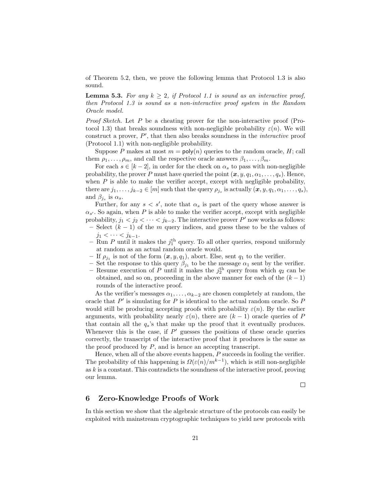of Theorem [5.2,](#page-19-1) then, we prove the following lemma that Protocol [1.3](#page-19-0) is also sound.

**Lemma 5.3.** For any  $k \geq 2$ , if Protocol [1.1](#page-9-1) is sound as an interactive proof, then Protocol [1.3](#page-19-0) is sound as a non-interactive proof system in the Random Oracle model.

*Proof Sketch.* Let  $P$  be a cheating prover for the non-interactive proof (Pro-tocol [1.3\)](#page-19-0) that breaks soundness with non-negligible probability  $\varepsilon(n)$ . We will construct a prover,  $P'$ , that then also breaks soundness in the *interactive* proof (Protocol [1.1\)](#page-9-1) with non-negligible probability.

Suppose P makes at most  $m = \text{poly}(n)$  queries to the random oracle, H; call them  $\rho_1, \ldots, \rho_m$ , and call the respective oracle answers  $\beta_1, \ldots, \beta_m$ .

For each  $s \in [k-2]$ , in order for the check on  $\alpha_s$  to pass with non-negligible probability, the prover P must have queried the point  $(x, y, q_1, \alpha_1, \ldots, q_s)$ . Hence, when  $P$  is able to make the verifier accept, except with negligible probability, there are  $j_1, \ldots, j_{k-2} \in [m]$  such that the query  $\rho_{j_s}$  is actually  $(\boldsymbol{x}, y, q_1, \alpha_1, \ldots, q_s)$ , and  $\beta_{j_s}$  is  $\alpha_s$ .

Further, for any  $s < s'$ , note that  $\alpha_s$  is part of the query whose answer is  $\alpha_{s'}$ . So again, when P is able to make the verifier accept, except with negligible probability,  $j_1 < j_2 < \cdots < j_{k-2}$ . The interactive prover P' now works as follows:

- Select  $(k 1)$  of the m query indices, and guess these to be the values of  $j_1 < \cdots < j_{k-1}.$
- Run P until it makes the  $j_1^{\text{th}}$  query. To all other queries, respond uniformly at random as an actual random oracle would.
- If  $\rho_{j_1}$  is not of the form  $(x, y, q_1)$ , abort. Else, sent  $q_1$  to the verifier.
- Set the response to this query  $\beta_{j_1}$  to be the message  $\alpha_1$  sent by the verifier.
- Resume execution of P until it makes the  $j_2^{\text{th}}$  query from which  $q_2$  can be obtained, and so on, proceeding in the above manner for each of the  $(k - 1)$ rounds of the interactive proof.

As the verifier's messages  $\alpha_1, \ldots, \alpha_{k-2}$  are chosen completely at random, the oracle that  $P'$  is simulating for  $P$  is identical to the actual random oracle. So  $P$ would still be producing accepting proofs with probability  $\varepsilon(n)$ . By the earlier arguments, with probability nearly  $\varepsilon(n)$ , there are  $(k-1)$  oracle queries of P that contain all the  $q_s$ 's that make up the proof that it eventually produces. Whenever this is the case, if  $P'$  guesses the positions of these oracle queries correctly, the transcript of the interactive proof that it produces is the same as the proof produced by  $P$ , and is hence an accepting transcript.

Hence, when all of the above events happen, P succeeds in fooling the verifier. The probability of this happening is  $\Omega(\varepsilon(n)/m^{k-1})$ , which is still non-negligible as  $k$  is a constant. This contradicts the soundness of the interactive proof, proving our lemma.

## 6 Zero-Knowledge Proofs of Work

In this section we show that the algebraic structure of the protocols can easily be exploited with mainstream cryptographic techniques to yield new protocols with

 $\Box$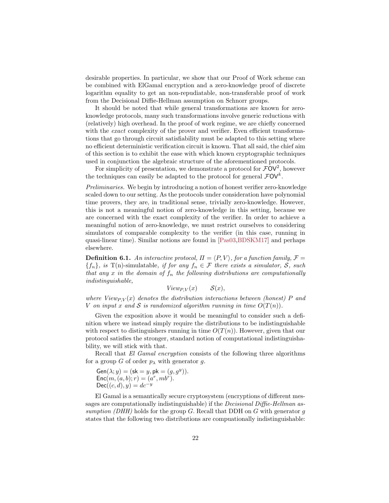desirable properties. In particular, we show that our Proof of Work scheme can be combined with ElGamal encryption and a zero-knowledge proof of discrete logarithm equality to get an non-repudiatable, non-transferable proof of work from the Decisional Diffie-Hellman assumption on Schnorr groups.

It should be noted that while general transformations are known for zeroknowledge protocols, many such transformations involve generic reductions with (relatively) high overhead. In the proof of work regime, we are chiefly concerned with the *exact* complexity of the prover and verifier. Even efficient transformations that go through circuit satisfiability must be adapted to this setting where no efficient deterministic verification circuit is known. That all said, the chief aim of this section is to exhibit the ease with which known cryptographic techniques used in conjunction the algebraic structure of the aforementioned protocols.

For simplicity of presentation, we demonstrate a protocol for  $\mathcal{F}OV^2$ , however the techniques can easily be adapted to the protocol for general  $\mathcal{F}OV^k$ .

Preliminaries. We begin by introducing a notion of honest verifier zero-knowledge scaled down to our setting. As the protocols under consideration have polynomial time provers, they are, in traditional sense, trivially zero-knowledge. However, this is not a meaningful notion of zero-knowledge in this setting, because we are concerned with the exact complexity of the verifier. In order to achieve a meaningful notion of zero-knowledge, we must restrict ourselves to considering simulators of comparable complexity to the verifier (in this case, running in quasi-linear time). Similar notions are found in [\[Pas03,](#page-26-8)[BDSKM17\]](#page-24-0) and perhaps elsewhere.

**Definition 6.1.** An interactive protocol,  $\Pi = \langle P, V \rangle$ , for a function family,  $\mathcal{F} =$  ${f_n}$ , is T(n)-simulatable, if for any  $f_n \in \mathcal{F}$  there exists a simulator, S, such that any x in the domain of  $f_n$  the following distributions are computationally indistinguishable,

$$
View_{P,V}(x) \qquad \mathcal{S}(x),
$$

where View<sub>PV</sub> $(x)$  denotes the distribution interactions between (honest) P and V on input x and S is randomized algorithm running in time  $O(T(n))$ .

Given the exposition above it would be meaningful to consider such a definition where we instead simply require the distributions to be indistinguishable with respect to distinguishers running in time  $O(T(n))$ . However, given that our protocol satisfies the stronger, standard notion of computational indistinguishability, we will stick with that.

Recall that El Gamal encryption consists of the following three algorithms for a group G of order  $p_{\lambda}$  with generator g.

Gen(
$$
\lambda
$$
;  $y$ ) = (sk =  $y$ , pk = ( $g$ ,  $g^y$ )).  
Enc( $m$ , ( $a$ ,  $b$ );  $r$ ) = ( $a^r$ ,  $mb^r$ ).  
Dec( $(c, d)$ ,  $y$ ) =  $dc^{-y}$ 

El Gamal is a semantically secure cryptosystem (encryptions of different messages are computationally indistinguishable) if the *Decisional Diffie-Hellman as*sumption (DHH) holds for the group  $G$ . Recall that DDH on  $G$  with generator  $g$ states that the following two distributions are compuationally indistinguishable: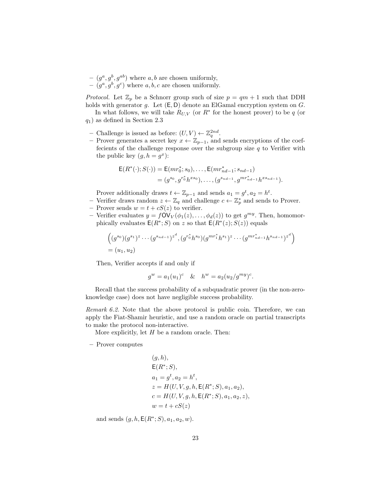- $(g^a, g^b, g^{ab})$  where a, b are chosen uniformly,
- $(g^a, g^b, g^c)$  where a, b, c are chosen uniformly.

*Protocol.* Let  $\mathbb{Z}_p$  be a Schnorr group such of size  $p = qm + 1$  such that DDH holds with generator g. Let  $(E, D)$  denote an ElGamal encryption system on G.

In what follows, we will take  $R_{U,V}$  (or  $R^*$  for the honest prover) to be q (or  $q_1$ ) as defined in Section [2.3](#page-7-0)

- Challenge is issued as before:  $(U, V) \leftarrow \mathbb{Z}_q^{2nd}$ .
- Prover generates a secret key  $x \leftarrow \mathbb{Z}_{p-1}$ , and sends encryptions of the coeffecients of the challenge response over the subgroup size  $q$  to Verifier with the public key  $(g, h = g^x)$ :

$$
\begin{aligned} \mathsf{E}(R^*(\cdot); S(\cdot)) &= \mathsf{E}(mr_0^*; s_0), \dots, \mathsf{E}(mr_{nd-1}^*; s_{nd-1}) \\ &= (g^{s_0}, g^{r_0^*}h^{xs_0}), \dots, (g^{s_{nd-1}}, g^{mr_{nd-1}^*}h^{xs_{nd-1}}). \end{aligned}
$$

Prover additionally draws  $t \leftarrow \mathbb{Z}_{p-1}$  and sends  $a_1 = g^t, a_2 = h^t$ .

- Verifier draws random  $z \leftarrow \mathbb{Z}_q$  and challenge  $c \leftarrow \mathbb{Z}_p^*$  and sends to Prover.
- Prover sends  $w = t + cS(z)$  to verifier.
- Verifier evaluates  $y = fOV_V(\phi_1(z), \ldots, \phi_d(z))$  to get  $g^{my}$ . Then, homomorphically evaluates  $E(R^*;S)$  on z so that  $E(R^*(z);S(z))$  equals

$$
\begin{aligned} & \left( (g^{s_0})(g^{s_1})^z \cdots (g^{s_{nd-1}})^{z^d}, (g^{r_0^*}h^{s_0})(g^{mr_1^*}h^{s_1})^z \cdots (g^{mr_{nd-1}^*}h^{s_{nd-1}})^{z^d} \right) \\ & = (u_1, u_2) \end{aligned}
$$

Then, Verifier accepts if and only if

$$
g^w = a_1(u_1)^c \quad \& \quad h^w = a_2(u_2/g^{my})^c.
$$

Recall that the success probability of a subquadratic prover (in the non-zeroknowledge case) does not have negligible success probability.

Remark 6.2. Note that the above protocol is public coin. Therefore, we can apply the Fiat-Shamir heuristic, and use a random oracle on partial transcripts to make the protocol non-interactive.

More explicitly, let  $H$  be a random oracle. Then:

– Prover computes

$$
(g, h),\nE(R^*; S),\na_1 = g^t, a_2 = h^t,\nz = H(U, V, g, h, E(R^*; S), a_1, a_2),\nc = H(U, V, g, h, E(R^*; S), a_1, a_2, z),\nw = t + cS(z)
$$

and sends  $(g, h, E(R^*; S), a_1, a_2, w)$ .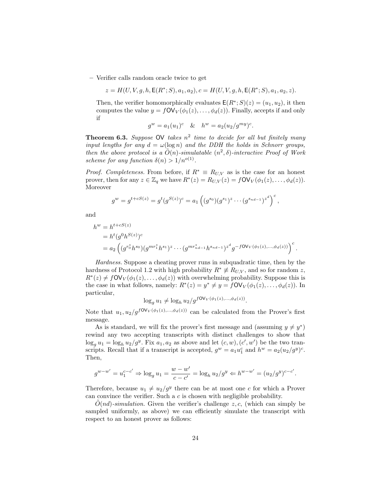– Verifier calls random oracle twice to get

$$
z = H(U, V, g, h, \mathsf{E}(R^*; S), a_1, a_2), c = H(U, V, g, h, \mathsf{E}(R^*; S), a_1, a_2, z).
$$

Then, the verifier homomorphically evaluates  $E(R^*;S)(z) = (u_1, u_2)$ , it then computes the value  $y = f\mathsf{OV}_V(\phi_1(z), \ldots, \phi_d(z))$ . Finally, accepts if and only if

$$
g^w = a_1(u_1)^c \quad \& \quad h^w = a_2(u_2/g^{my})^c
$$

.

**Theorem 6.3.** Suppose OV takes  $n^2$  time to decide for all but finitely many input lengths for any  $d = \omega(\log n)$  and the DDH the holds in Schnorr groups, then the above protocol is a  $\tilde{O}(n)$ -simulatable  $(n^2, \delta)$ -interactive Proof of Work scheme for any function  $\delta(n) > 1/n^{o(1)}$ .

*Proof. Completeness.* From before, if  $R^* \equiv R_{U,V}$  as is the case for an honest prover, then for any  $z \in \mathbb{Z}_q$  we have  $R^*(z) = R_{U,V}(z) = f\mathsf{OV}_V(\phi_1(z), \ldots, \phi_d(z)).$ Moreover

$$
g^{w} = g^{t+cS(z)} = g^{t}(g^{S(z)})^{c} = a_1 \left( (g^{s_0})(g^{s_1})^{z} \cdots (g^{s_{nd-1}})^{z^d} \right)^{c},
$$

and

$$
h^{w} = h^{t+cs(z)}
$$
  
=  $h^{t}(g^{0}h^{S(z)})^{c}$   
=  $a_{2} ((g^{r_{0}^{*}}h^{s_{0}})(g^{mr_{1}^{*}}h^{s_{1}})^{z} \cdots (g^{mr_{nd-1}^{*}}h^{s_{nd-1}})^{z^{d}}g^{-f\text{OV}_{V}(\phi_{1}(z),...,\phi_{d}(z))})^{c}$ .

Hardness. Suppose a cheating prover runs in subquadratic time, then by the hardness of Protocol [1.2](#page-9-2) with high probability  $R^* \not\equiv R_{U,V}$ , and so for random z,  $R^*(z) \neq f\textsf{OV}_V(\phi_1(z), \ldots, \phi_d(z))$  with overwhelming probability. Suppose this is the case in what follows, namely:  $R^*(z) = y^* \neq y = f\text{OV}_V(\phi_1(z), \dots, \phi_d(z))$ . In particular,

$$
\log_g u_1 \neq \log_h u_2 / g^{f\text{OV}_V(\phi_1(z), \dots, \phi_d(z))}.
$$

Note that  $u_1, u_2/g^{f\text{OV}_V(\phi_1(z), \dots, \phi_d(z))}$  can be calculated from the Prover's first message.

As is standard, we will fix the prover's first message and (assuming  $y \neq y^*$ ) rewind any two accepting transcripts with distinct challenges to show that  $\log_g u_1 = \log_h u_2/g^y$ . Fix  $a_1, a_2$  as above and let  $(c, w), (c', w')$  be the two transcripts. Recall that if a transcript is accepted,  $g^w = a_1 u_1^c$  and  $h^w = a_2 (u_2/g^y)^c$ . Then,

$$
g^{w-w'} = u_1^{c-c'} \Rightarrow \log_g u_1 = \frac{w-w'}{c-c'} = \log_h u_2/g^y \Leftarrow h^{w-w'} = (u_2/g^y)^{c-c'}.
$$

Therefore, because  $u_1 \neq u_2/g^y$  there can be at most one c for which a Prover can convince the verifier. Such a  $c$  is chosen with negligible probability.

 $O(nd)$ -simulation. Given the verifier's challenge z, c, (which can simply be sampled uniformly, as above) we can efficiently simulate the transcript with respect to an honest prover as follows: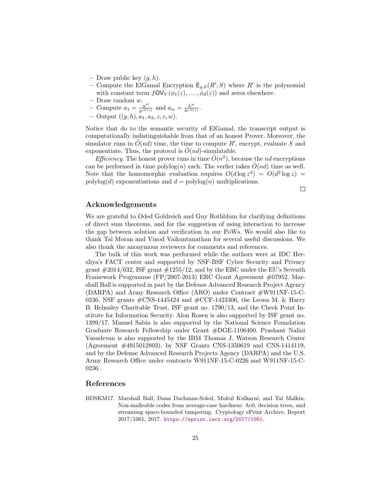- Draw public key  $(g, h)$ .
- Compute the ElGamal Encryption  $\mathsf{E}_{g,h}(R';S)$  where  $R'$  is the polynomial with constant term  $f\textsf{OV}_V(\phi_1(z), \ldots, \phi_d(z))$  and zeros elsewhere.
- Draw random w.
- Compute  $a_1 = \frac{g^w}{g^{cS(1)}}$  $\frac{g^w}{g^{cS(z)}}$  and  $a_w = \frac{h^w}{h^{cS(z)}}$  $\frac{h^w}{h^{cS(z)}}$ .
- Output  $((g, h), a_1, a_2, z, c, w)$ .

Notice that do to the semantic security of ElGamal, the transcript output is computationally indistinguishable from that of an honest Prover. Moreover, the simulator runs in  $\tilde{O}(nd)$  time, the time to compute R', encrypt, evaluate S and exponentiate. Thus, the protocol is  $\tilde{O}(nd)$ -simulatable.

*Efficiency*. The honest prover runs in time  $\tilde{O}(n^2)$ , because the *nd* encryptions can be performed in time polylog(n) each. The verfier takes  $\tilde{O}(nd)$  time as well. Note that the homomorphic evaluation requires  $O(d \log z^d) = O(d^2 \log z)$ polylog(d) exponentiations and  $d = \text{polylog}(n)$  multiplications.

 $\Box$ 

## Acknowledgements

We are grateful to Oded Goldreich and Guy Rothblum for clarifying definitions of direct sum theorems, and for the suggestion of using interaction to increase the gap between solution and verification in our PoWs. We would also like to thank Tal Moran and Vinod Vaikuntanathan for several useful discussions. We also thank the anonymous reviewers for comments and references.

The bulk of this work was performed while the authors were at IDC Herzliya's FACT center and supported by NSF-BSF Cyber Security and Privacy grant  $\#2014/632$ , ISF grant  $\#1255/12$ , and by the ERC under the EU's Seventh Framework Programme (FP/2007-2013) ERC Grant Agreement #07952. Marshall Ball is supported in part by the Defense Advanced Research Project Agency (DARPA) and Army Research Office (ARO) under Contract #W911NF-15-C-0236, NSF grants  $\text{\#CNS-1445424}$  and  $\text{\#CCF-1423306}$ , the Leona M. & Harry B. Helmsley Charitable Trust, ISF grant no. 1790/13, and the Check Point Institute for Information Security. Alon Rosen is also supported by ISF grant no. 1399/17. Manuel Sabin is also supported by the National Science Foundation Graduate Research Fellowship under Grant #DGE-1106400. Prashant Nalini Vasudevan is also supported by the IBM Thomas J. Watson Research Center (Agreement #4915012803), by NSF Grants CNS-1350619 and CNS-1414119, and by the Defense Advanced Research Projects Agency (DARPA) and the U.S. Army Research Office under contracts W911NF-15-C-0226 and W911NF-15-C-0236..

### References

<span id="page-24-0"></span>BDSKM17. Marshall Ball, Dana Dachman-Soled, Mukul Kulkarni, and Tal Malkin. Non-malleable codes from average-case hardness: Ac0, decision trees, and streaming space-bounded tampering. Cryptology ePrint Archive, Report 2017/1061, 2017. <https://eprint.iacr.org/2017/1061>.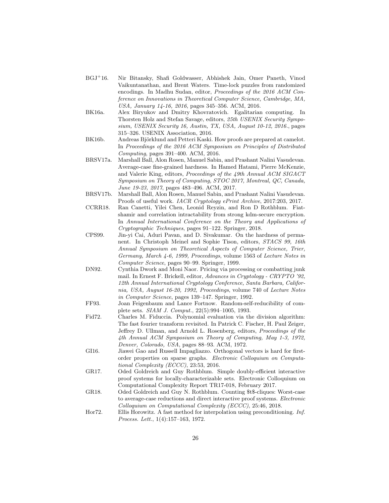- <span id="page-25-2"></span>BGJ<sup>+</sup>16. Nir Bitansky, Shafi Goldwasser, Abhishek Jain, Omer Paneth, Vinod Vaikuntanathan, and Brent Waters. Time-lock puzzles from randomized encodings. In Madhu Sudan, editor, Proceedings of the 2016 ACM Conference on Innovations in Theoretical Computer Science, Cambridge, MA, USA, January 14-16, 2016, pages 345–356. ACM, 2016.
- <span id="page-25-4"></span>BK16a. Alex Biryukov and Dmitry Khovratovich. Egalitarian computing. In Thorsten Holz and Stefan Savage, editors, 25th USENIX Security Symposium, USENIX Security 16, Austin, TX, USA, August 10-12, 2016., pages 315–326. USENIX Association, 2016.
- <span id="page-25-3"></span>BK16b. Andreas Björklund and Petteri Kaski. How proofs are prepared at camelot. In Proceedings of the 2016 ACM Symposium on Principles of Distributed Computing, pages 391–400. ACM, 2016.
- <span id="page-25-1"></span>BRSV17a. Marshall Ball, Alon Rosen, Manuel Sabin, and Prashant Nalini Vasudevan. Average-case fine-grained hardness. In Hamed Hatami, Pierre McKenzie, and Valerie King, editors, Proceedings of the 49th Annual ACM SIGACT Symposium on Theory of Computing, STOC 2017, Montreal, QC, Canada, June 19-23, 2017, pages 483–496. ACM, 2017.
- <span id="page-25-6"></span>BRSV17b. Marshall Ball, Alon Rosen, Manuel Sabin, and Prashant Nalini Vasudevan. Proofs of useful work. IACR Cryptology ePrint Archive, 2017:203, 2017.
- <span id="page-25-12"></span>CCRR18. Ran Canetti, Yilei Chen, Leonid Reyzin, and Ron D Rothblum. Fiatshamir and correlation intractability from strong kdm-secure encryption. In Annual International Conference on the Theory and Applications of Cryptographic Techniques, pages 91–122. Springer, 2018.
- <span id="page-25-13"></span>CPS99. Jin-yi Cai, Aduri Pavan, and D. Sivakumar. On the hardness of permanent. In Christoph Meinel and Sophie Tison, editors, STACS 99, 16th Annual Symposium on Theoretical Aspects of Computer Science, Trier, Germany, March 4-6, 1999, Proceedings, volume 1563 of Lecture Notes in Computer Science, pages 90–99. Springer, 1999.
- <span id="page-25-0"></span>DN92. Cynthia Dwork and Moni Naor. Pricing via processing or combatting junk mail. In Ernest F. Brickell, editor, Advances in Cryptology - CRYPTO '92, 12th Annual International Cryptology Conference, Santa Barbara, California, USA, August 16-20, 1992, Proceedings, volume 740 of Lecture Notes in Computer Science, pages 139–147. Springer, 1992.
- <span id="page-25-11"></span>FF93. Joan Feigenbaum and Lance Fortnow. Random-self-reducibility of complete sets. SIAM J. Comput., 22(5):994–1005, 1993.
- <span id="page-25-10"></span>Fid72. Charles M. Fiduccia. Polynomial evaluation via the division algorithm: The fast fourier transform revisited. In Patrick C. Fischer, H. Paul Zeiger, Jeffrey D. Ullman, and Arnold L. Rosenberg, editors, Proceedings of the 4th Annual ACM Symposium on Theory of Computing, May 1-3, 1972, Denver, Colorado, USA, pages 88–93. ACM, 1972.
- <span id="page-25-8"></span>GI16. Jiawei Gao and Russell Impagliazzo. Orthogonal vectors is hard for firstorder properties on sparse graphs. Electronic Colloquium on Computational Complexity (ECCC), 23:53, 2016.
- <span id="page-25-7"></span>GR17. Oded Goldreich and Guy Rothblum. Simple doubly-efficient interactive proof systems for locally-characterizable sets. Electronic Colloquium on Computational Complexity Report TR17-018, February 2017.
- <span id="page-25-5"></span>GR18. Oded Goldreich and Guy N. Rothblum. Counting \$t\$-cliques: Worst-case to average-case reductions and direct interactive proof systems. Electronic Colloquium on Computational Complexity (ECCC), 25:46, 2018.
- <span id="page-25-9"></span>Hor72. Ellis Horowitz. A fast method for interpolation using preconditioning. Inf. Process. Lett., 1(4):157–163, 1972.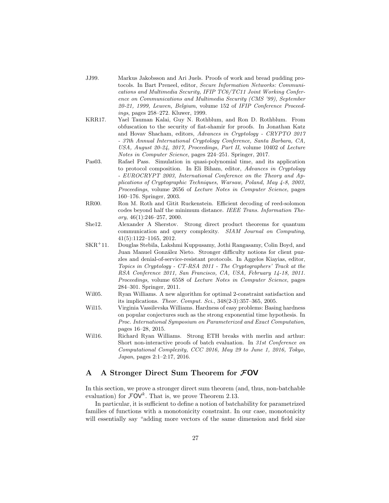- <span id="page-26-2"></span>JJ99. Markus Jakobsson and Ari Juels. Proofs of work and bread pudding protocols. In Bart Preneel, editor, Secure Information Networks: Communications and Multimedia Security, IFIP TC6/TC11 Joint Working Conference on Communications and Multimedia Security (CMS '99), September 20-21, 1999, Leuven, Belgium, volume 152 of IFIP Conference Proceedings, pages 258–272. Kluwer, 1999.
- <span id="page-26-7"></span>KRR17. Yael Tauman Kalai, Guy N. Rothblum, and Ron D. Rothblum. From obfuscation to the security of fiat-shamir for proofs. In Jonathan Katz and Hovav Shacham, editors, Advances in Cryptology - CRYPTO 2017 - 37th Annual International Cryptology Conference, Santa Barbara, CA, USA, August 20-24, 2017, Proceedings, Part II, volume 10402 of Lecture Notes in Computer Science, pages 224–251. Springer, 2017.
- <span id="page-26-8"></span>Pas03. Rafael Pass. Simulation in quasi-polynomial time, and its application to protocol composition. In Eli Biham, editor, Advances in Cryptology - EUROCRYPT 2003, International Conference on the Theory and Applications of Cryptographic Techniques, Warsaw, Poland, May 4-8, 2003, Proceedings, volume 2656 of Lecture Notes in Computer Science, pages 160–176. Springer, 2003.
- <span id="page-26-9"></span>RR00. Ron M. Roth and Gitit Ruckenstein. Efficient decoding of reed-solomon codes beyond half the minimum distance. IEEE Trans. Information The- $\textit{ory}, 46(1):246-257, 2000.$
- <span id="page-26-6"></span>She12. Alexander A Sherstov. Strong direct product theorems for quantum communication and query complexity. SIAM Journal on Computing, 41(5):1122–1165, 2012.
- <span id="page-26-3"></span>SKR<sup>+</sup>11. Douglas Stebila, Lakshmi Kuppusamy, Jothi Rangasamy, Colin Boyd, and Juan Manuel González Nieto. Stronger difficulty notions for client puzzles and denial-of-service-resistant protocols. In Aggelos Kiayias, editor, Topics in Cryptology - CT-RSA 2011 - The Cryptographers' Track at the RSA Conference 2011, San Francisco, CA, USA, February 14-18, 2011. Proceedings, volume 6558 of Lecture Notes in Computer Science, pages 284–301. Springer, 2011.
- <span id="page-26-0"></span>Wil05. Ryan Williams. A new algorithm for optimal 2-constraint satisfaction and its implications. Theor. Comput. Sci., 348(2-3):357–365, 2005.
- <span id="page-26-1"></span>Wil15. Virginia Vassilevska Williams. Hardness of easy problems: Basing hardness on popular conjectures such as the strong exponential time hypothesis. In Proc. International Symposium on Parameterized and Exact Computation, pages 16–28, 2015.
- <span id="page-26-4"></span>Wil16. Richard Ryan Williams. Strong ETH breaks with merlin and arthur: Short non-interactive proofs of batch evaluation. In 31st Conference on Computational Complexity, CCC 2016, May 29 to June 1, 2016, Tokyo, Japan, pages 2:1–2:17, 2016.

# <span id="page-26-5"></span>A A Stronger Direct Sum Theorem for FOV

In this section, we prove a stronger direct sum theorem (and, thus, non-batchable evaluation) for  $\mathcal{F}OV^k$ . That is, we prove Theorem [2.13.](#page-10-0)

In particular, it is sufficient to define a notion of batchability for parametrized families of functions with a monotonicity constraint. In our case, monotonicity will essentially say "adding more vectors of the same dimension and field size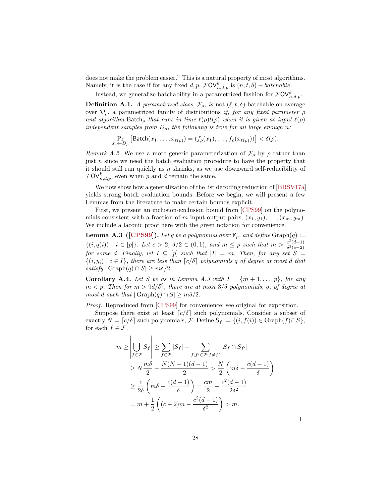does not make the problem easier." This is a natural property of most algorithms. Namely, it is the case if for any fixed  $d, p, \mathcal{F} \text{OV}_{n,d,p}^k$  is  $(n, t, \delta) - batchable$ .

Instead, we generalize batchability in a parametrized fashion for  $\mathcal{F} \text{OV}_{n,d,p}^k$ .

**Definition A.1.** A parametrized class,  $\mathcal{F}_{\rho}$ , is not  $(\ell, t, \delta)$ -batchable on average over  $\mathcal{D}_{\rho}$ , a parametrized family of distributions if, for any fixed parameter  $\rho$ and algorithm Batch<sub>ρ</sub> that runs in time  $\ell(\rho)t(\rho)$  when it is given as input  $\ell(\rho)$ independent samples from  $D_{\rho}$ , the following is true for all large enough n:

<span id="page-27-0"></span>
$$
\Pr_{x_i \leftarrow D_\rho} \left[ \mathsf{Batch}(x_1, \ldots, x_{\ell(\rho)}) = (f_\rho(x_1), \ldots, f_\rho(x_{\ell(\rho)})) \right] < \delta(\rho).
$$

*Remark A.2.* We use a more generic parameterization of  $\mathcal{F}_{\rho}$  by  $\rho$  rather than just  $n$  since we need the batch evaluation procedure to have the property that it should still run quickly as  $n$  shrinks, as we use downward self-reducibility of  $\mathcal{F}ov^k_{n,d,p}$ , even when p and d remain the same.

We now show how a generalization of the list decoding reduction of [\[BRSV17a\]](#page-25-1) yields strong batch evaluation bounds. Before we begin, we will present a few Lemmas from the literature to make certain bounds explicit.

First, we present an inclusion-exclusion bound from [\[CPS99\]](#page-25-13) on the polynomials consistent with a fraction of m input-output pairs,  $(x_1, y_1), \ldots, (x_m, y_m)$ . We include a laconic proof here with the given notation for convenience.

**Lemma A.3** ([\[CPS99\]](#page-25-13)). Let q be a polynomial over  $\mathbb{F}_p$ , and define Graph(q) :=  $\{(i,q(i)) \mid i \in [p]\}\text{. Let } c > 2, \ \delta/2 \in (0,1), \text{ and } m \leq p \text{ such that } m > \frac{c^2(d-1)}{\delta^2(c-2)}$  $\delta^2(c-2)$ for some d. Finally, let  $I \subseteq [p]$  such that  $|I| = m$ . Then, for any set  $S =$  $\{(i, y_i) \mid i \in I\}$ , there are less than  $\lceil c/\delta \rceil$  polynomials q of degree at most d that satisfy  $|\operatorname{Graph}(q) \cap S| \geq m\delta/2$ .

<span id="page-27-1"></span>**Corollary A.4.** Let S be as in Lemma [A.3](#page-27-0) with  $I = \{m+1,\ldots,p\}$ , for any  $m < p$ . Then for  $m > 9d/\delta^2$ , there are at most  $3/\delta$  polynomials, q, of degree at most d such that  $|\text{Graph}(q) \cap S| \geq m\delta/2$ .

Proof. Reproduced from [\[CPS99\]](#page-25-13) for convenience; see original for exposition.

Suppose there exist at least  $\lceil c/\delta \rceil$  such polynomials. Consider a subset of exactly  $N = [c/\delta]$  such polynomials, F. Define  $S_f := \{(i, f(i)) \in \text{Graph}(f) \cap S\},$ for each  $f \in \mathcal{F}$ .

$$
m \ge \left| \bigcup_{f \in \mathcal{F}} S_f \right| \ge \sum_{f \in \mathcal{F}} |S_f| - \sum_{f, f' \in \mathcal{F}: f \ne f'} |S_f \cap S_{f'}|
$$
  
\n
$$
\ge N \frac{m\delta}{2} - \frac{N(N-1)(d-1)}{2} > \frac{N}{2} \left( m\delta - \frac{c(d-1)}{\delta} \right)
$$
  
\n
$$
\ge \frac{c}{2\delta} \left( m\delta - \frac{c(d-1)}{\delta} \right) = \frac{cm}{2} - \frac{c^2(d-1)}{2\delta^2}
$$
  
\n
$$
= m + \frac{1}{2} \left( (c-2)m - \frac{c^2(d-1)}{\delta^2} \right) > m.
$$

 $\Box$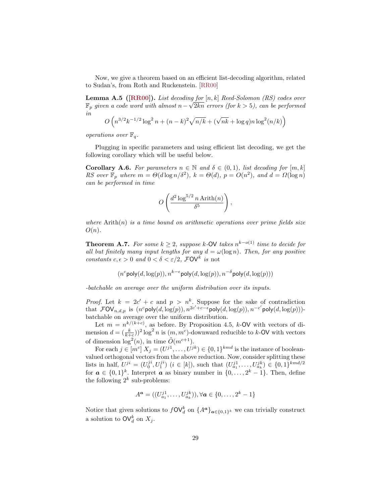Now, we give a theorem based on an efficient list-decoding algorithm, related to Sudan's, from Roth and Ruckenstein. [\[RR00\]](#page-26-9)

**Lemma A.5** ([ $\mathbf{RRO0}$ ]). List decoding for [n, k] Reed-Solomon (RS) codes over  $\mathbb{F}_p$  given a code word with almost  $n-\sqrt{2kn}$  errors (for  $k>5$ ), can be performed in

$$
O\left(n^{3/2}k^{-1/2}\log^2 n + (n-k)^2\sqrt{n/k} + (\sqrt{nk} + \log q)n\log^2(n/k)\right)
$$

operations over  $\mathbb{F}_q$ .

Plugging in specific parameters and using efficient list decoding, we get the following corollary which will be useful below.

**Corollary A.6.** For parameters  $n \in \mathbb{N}$  and  $\delta \in (0,1)$ , list decoding for  $[m, k]$ RS over  $\mathbb{F}_p$  where  $m = \Theta(d \log n / \delta^2)$ ,  $k = \Theta(d)$ ,  $p = O(n^2)$ , and  $d = \Omega(\log n)$ can be performed in time

<span id="page-28-0"></span>
$$
O\left(\frac{d^2\log^{5/2}n\operatorname{Arith}(n)}{\delta^5}\right),\,
$$

where  $Arith(n)$  is a time bound on arithmetic operations over prime fields size  $O(n)$ .

**Theorem A.7.** For some  $k \geq 2$ , suppose k-OV takes  $n^{k-o(1)}$  time to decide for all but finitely many input lengths for any  $d = \omega(\log n)$ . Then, for any positive constants  $c, \epsilon > 0$  and  $0 < \delta < \epsilon/2$ ,  $\text{FOV}^k$  is not

$$
(n^c \text{poly}(d, \log(p)), n^{k-\epsilon} \text{poly}(d, \log(p)), n^{-\delta} \text{poly}(d, \log(p)))
$$

-batchable on average over the uniform distribution over its inputs.

*Proof.* Let  $k = 2c' + c$  and  $p > n^k$ . Suppose for the sake of contradiction that  $\mathcal{F} \textsf{OV}_{n,d,p}$  is  $(n^c \textsf{poly}(d, \log(p)), n^{2c' + c - \epsilon} \textsf{poly}(d, \log(p)), n^{-c'} \textsf{poly}(d, \log(p)))$ batchable on average over the uniform distribution.

Let  $m = n^{k/(k+c)}$ , as before. By Proposition [4.5,](#page-16-0) k-OV with vectors of dimension  $d = (\frac{k}{k+c})^2 \log^2 n$  is  $(m, m^c)$ -downward reducible to k-OV with vectors of dimension  $\log^2(n)$ , in time  $\tilde{O}(m^{c+1})$ .

For each  $j \in [m^c]$   $X_j = (U^{j1}, \ldots, U^{jk}) \in \{0,1\}^{kmd}$  is the instance of booleanvalued orthogonal vectors from the above reduction. Now, consider splitting these lists in half,  $U^{ji} = (U_0^{ji}, U_1^{ji})$   $(i \in [k])$ , such that  $(U_{a_1}^{j_1}, \ldots, U_{a_k}^{jk}) \in \{0, 1\}^{kmd/2}$ for  $\boldsymbol{a} \in \{0,1\}^k$ . Interpret  $\boldsymbol{a}$  as binary number in  $\{0,\ldots,2^k-1\}$ . Then, define the following  $2^k$  sub-problems:

$$
A^{\mathbf{a}} = ((U_{a_1}^{j1}, \dots, U_{a_k}^{jk})), \forall \mathbf{a} \in \{0, \dots, 2^k - 1\}
$$

Notice that given solutions to  $f\textsf{OV}_d^k$  on  $\{A^a\}_{a\in\{0,1\}^k}$  we can trivially construct a solution to  $\mathsf{OV}_{d}^k$  on  $X_j$ .